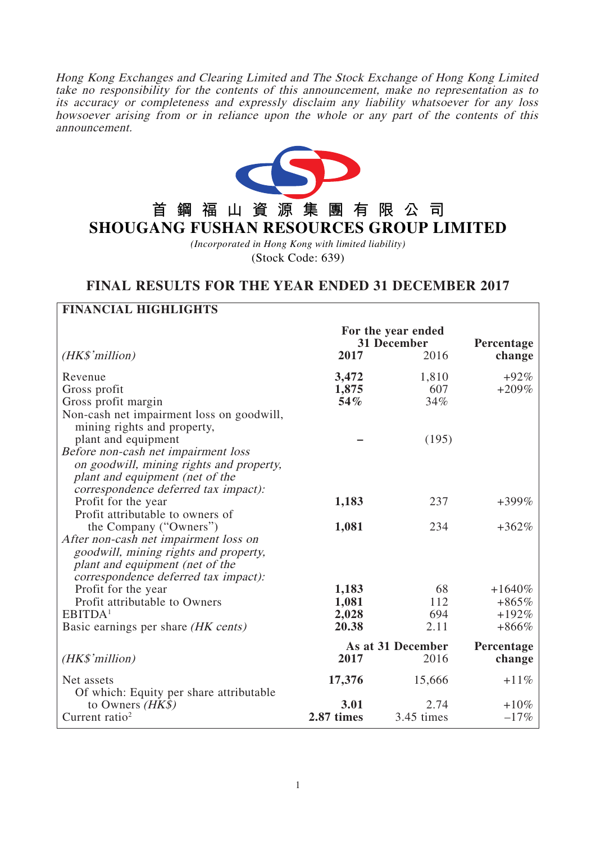Hong Kong Exchanges and Clearing Limited and The Stock Exchange of Hong Kong Limited take no responsibility for the contents of this announcement, make no representation as to its accuracy or completeness and expressly disclaim any liability whatsoever for any loss howsoever arising from or in reliance upon the whole or any part of the contents of this announcement.



# **首鋼福山資源集團有限公司 SHOUGANG FUSHAN RESOURCES GROUP LIMITED**

*(Incorporated in Hong Kong with limited liability)* (Stock Code: 639)

# **FINAL RESULTS FOR THE YEAR ENDED 31 DECEMBER 2017**

**FINANCIAL HIGHLIGHTS**

| гимметат шопплопту                                                                                                                                                                  |                                                   |                           |                      |  |
|-------------------------------------------------------------------------------------------------------------------------------------------------------------------------------------|---------------------------------------------------|---------------------------|----------------------|--|
| (HK\$'million)                                                                                                                                                                      | For the year ended<br>31 December<br>2017<br>2016 |                           | Percentage<br>change |  |
| Revenue<br>Gross profit<br>Gross profit margin<br>Non-cash net impairment loss on goodwill,<br>mining rights and property,                                                          | 3,472<br>1,875<br>54%                             | 1,810<br>607<br>34%       | $+92\%$<br>$+209\%$  |  |
| plant and equipment<br>Before non-cash net impairment loss<br>on goodwill, mining rights and property,<br>plant and equipment (net of the<br>correspondence deferred tax impact):   |                                                   | (195)                     |                      |  |
| Profit for the year<br>Profit attributable to owners of                                                                                                                             | 1,183                                             | 237                       | $+399%$              |  |
| the Company ("Owners")<br>After non-cash net impairment loss on<br>goodwill, mining rights and property,<br>plant and equipment (net of the<br>correspondence deferred tax impact): | 1,081                                             | 234                       | $+362%$              |  |
| Profit for the year                                                                                                                                                                 | 1,183                                             | 68                        | $+1640\%$            |  |
| Profit attributable to Owners                                                                                                                                                       | 1,081                                             | 112                       | $+865%$              |  |
| EBITDA <sup>1</sup><br>Basic earnings per share (HK cents)                                                                                                                          | 2,028<br>20.38                                    | 694<br>2.11               | $+192%$<br>$+866%$   |  |
| (HK\$'million)                                                                                                                                                                      | 2017                                              | As at 31 December<br>2016 | Percentage<br>change |  |
| Net assets<br>Of which: Equity per share attributable                                                                                                                               | 17,376                                            | 15,666                    | $+11%$               |  |
| to Owners $(HK\$<br>Current ratio <sup>2</sup>                                                                                                                                      | 3.01<br>2.87 times                                | 2.74<br>3.45 times        | $+10%$<br>$-17%$     |  |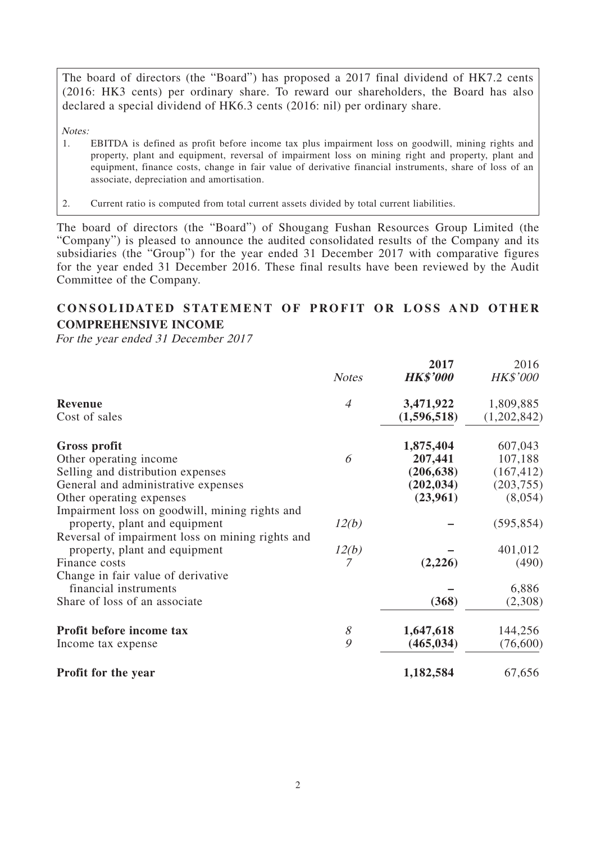The board of directors (the "Board") has proposed a 2017 final dividend of HK7.2 cents (2016: HK3 cents) per ordinary share. To reward our shareholders, the Board has also declared a special dividend of HK6.3 cents (2016: nil) per ordinary share.

Notes:

- 1. EBITDA is defined as profit before income tax plus impairment loss on goodwill, mining rights and property, plant and equipment, reversal of impairment loss on mining right and property, plant and equipment, finance costs, change in fair value of derivative financial instruments, share of loss of an associate, depreciation and amortisation.
- 2. Current ratio is computed from total current assets divided by total current liabilities.

The board of directors (the "Board") of Shougang Fushan Resources Group Limited (the "Company") is pleased to announce the audited consolidated results of the Company and its subsidiaries (the "Group") for the year ended 31 December 2017 with comparative figures for the year ended 31 December 2016. These final results have been reviewed by the Audit Committee of the Company.

# **CONSOLIDATED STATEMENT OF PROFIT OR LOSS AND OTHER COMPREHENSIVE INCOME**

For the year ended 31 December 2017

|                                                  |                | 2017            | 2016            |
|--------------------------------------------------|----------------|-----------------|-----------------|
|                                                  | <b>Notes</b>   | <b>HK\$'000</b> | <b>HK\$'000</b> |
| <b>Revenue</b>                                   | $\overline{A}$ | 3,471,922       | 1,809,885       |
| Cost of sales                                    |                | (1,596,518)     | (1,202,842)     |
| Gross profit                                     |                | 1,875,404       | 607,043         |
| Other operating income                           | 6              | 207,441         | 107,188         |
| Selling and distribution expenses                |                | (206, 638)      | (167, 412)      |
| General and administrative expenses              |                | (202, 034)      | (203, 755)      |
| Other operating expenses                         |                | (23,961)        | (8,054)         |
| Impairment loss on goodwill, mining rights and   |                |                 |                 |
| property, plant and equipment                    | 12(b)          |                 | (595, 854)      |
| Reversal of impairment loss on mining rights and |                |                 |                 |
| property, plant and equipment                    | 12(b)          |                 | 401,012         |
| Finance costs                                    |                | (2,226)         | (490)           |
| Change in fair value of derivative               |                |                 |                 |
| financial instruments                            |                |                 | 6,886           |
| Share of loss of an associate                    |                | (368)           | (2,308)         |
| Profit before income tax                         | 8              | 1,647,618       | 144,256         |
| Income tax expense                               | 9              | (465, 034)      | (76,600)        |
| Profit for the year                              |                | 1,182,584       | 67,656          |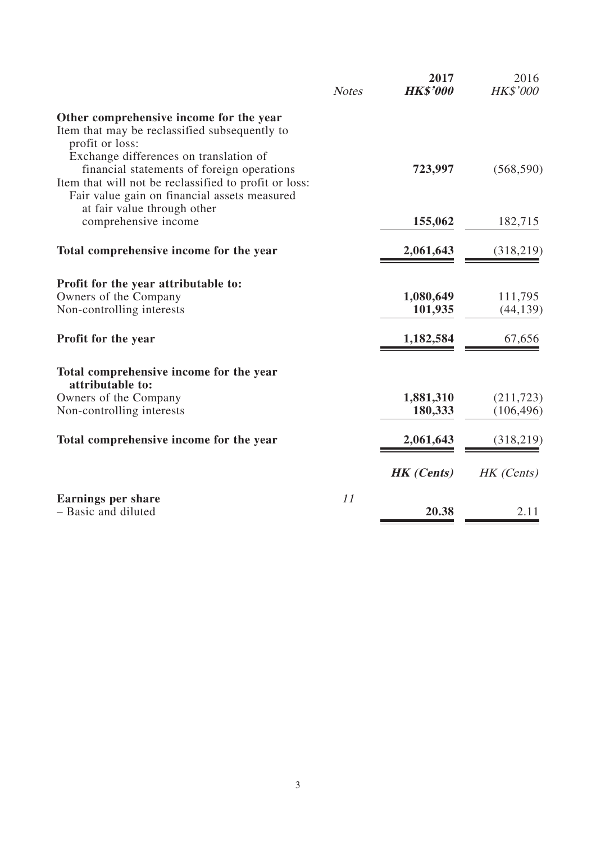|                                                                                          | <b>Notes</b> | 2017<br><b>HK\$'000</b> | 2016<br><b>HK\$'000</b> |
|------------------------------------------------------------------------------------------|--------------|-------------------------|-------------------------|
| Other comprehensive income for the year<br>Item that may be reclassified subsequently to |              |                         |                         |
| profit or loss:                                                                          |              |                         |                         |
| Exchange differences on translation of<br>financial statements of foreign operations     |              | 723,997                 | (568, 590)              |
| Item that will not be reclassified to profit or loss:                                    |              |                         |                         |
| Fair value gain on financial assets measured                                             |              |                         |                         |
| at fair value through other<br>comprehensive income                                      |              | 155,062                 | 182,715                 |
|                                                                                          |              |                         |                         |
| Total comprehensive income for the year                                                  |              | 2,061,643               | (318,219)               |
| Profit for the year attributable to:                                                     |              |                         |                         |
| Owners of the Company                                                                    |              | 1,080,649               | 111,795                 |
| Non-controlling interests                                                                |              | 101,935                 | (44, 139)               |
| Profit for the year                                                                      |              | 1,182,584               | 67,656                  |
| Total comprehensive income for the year                                                  |              |                         |                         |
| attributable to:<br>Owners of the Company                                                |              | 1,881,310               | (211, 723)              |
| Non-controlling interests                                                                |              | 180,333                 | (106, 496)              |
|                                                                                          |              |                         |                         |
| Total comprehensive income for the year                                                  |              | 2,061,643               | (318, 219)              |
|                                                                                          |              | <b>HK</b> (Cents)       | HK (Cents)              |
| <b>Earnings per share</b>                                                                | 11           |                         |                         |
| - Basic and diluted                                                                      |              | 20.38                   | 2.11                    |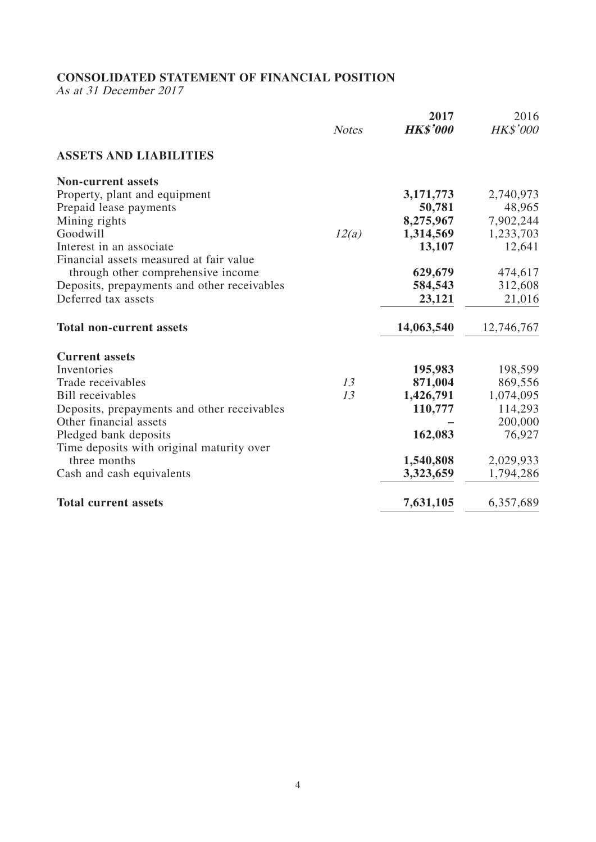# **CONSOLIDATED STATEMENT OF FINANCIAL POSITION**

As at 31 December 2017

|                                             | <b>Notes</b> | 2017<br><b>HK\$'000</b> | 2016<br>HK\$'000 |
|---------------------------------------------|--------------|-------------------------|------------------|
| <b>ASSETS AND LIABILITIES</b>               |              |                         |                  |
| <b>Non-current assets</b>                   |              |                         |                  |
| Property, plant and equipment               |              | 3,171,773               | 2,740,973        |
| Prepaid lease payments                      |              | 50,781                  | 48,965           |
| Mining rights                               |              | 8,275,967               | 7,902,244        |
| Goodwill                                    | 12(a)        | 1,314,569               | 1,233,703        |
| Interest in an associate                    |              | 13,107                  | 12,641           |
| Financial assets measured at fair value     |              |                         |                  |
| through other comprehensive income          |              | 629,679                 | 474,617          |
| Deposits, prepayments and other receivables |              | 584,543                 | 312,608          |
| Deferred tax assets                         |              | 23,121                  | 21,016           |
| <b>Total non-current assets</b>             |              | 14,063,540              | 12,746,767       |
| <b>Current assets</b>                       |              |                         |                  |
| Inventories                                 |              | 195,983                 | 198,599          |
| Trade receivables                           | 13           | 871,004                 | 869,556          |
| <b>Bill</b> receivables                     | 13           | 1,426,791               | 1,074,095        |
| Deposits, prepayments and other receivables |              | 110,777                 | 114,293          |
| Other financial assets                      |              |                         | 200,000          |
| Pledged bank deposits                       |              | 162,083                 | 76,927           |
| Time deposits with original maturity over   |              |                         |                  |
| three months                                |              | 1,540,808               | 2,029,933        |
| Cash and cash equivalents                   |              | 3,323,659               | 1,794,286        |
| <b>Total current assets</b>                 |              | 7,631,105               | 6,357,689        |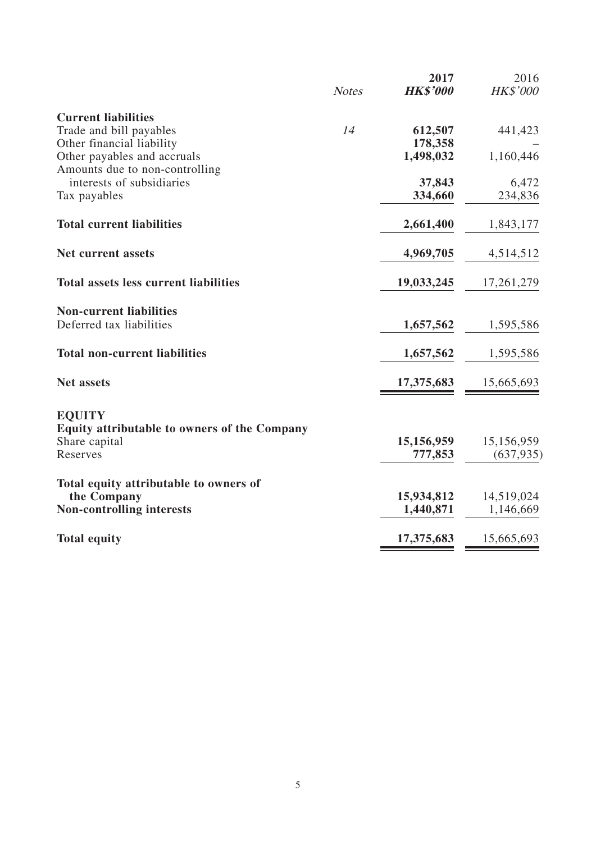|                                                                      | <b>Notes</b> | 2017<br><b>HK\$'000</b> | 2016<br><b>HK\$'000</b> |
|----------------------------------------------------------------------|--------------|-------------------------|-------------------------|
|                                                                      |              |                         |                         |
| <b>Current liabilities</b><br>Trade and bill payables                | 14           | 612,507                 | 441,423                 |
| Other financial liability                                            |              | 178,358                 |                         |
| Other payables and accruals                                          |              | 1,498,032               | 1,160,446               |
| Amounts due to non-controlling                                       |              |                         |                         |
| interests of subsidiaries                                            |              | 37,843                  | 6,472                   |
| Tax payables                                                         |              | 334,660                 | 234,836                 |
| <b>Total current liabilities</b>                                     |              | 2,661,400               | 1,843,177               |
| Net current assets                                                   |              | 4,969,705               | 4,514,512               |
|                                                                      |              |                         |                         |
| <b>Total assets less current liabilities</b>                         |              | 19,033,245              | 17,261,279              |
| <b>Non-current liabilities</b>                                       |              |                         |                         |
| Deferred tax liabilities                                             |              | 1,657,562               | 1,595,586               |
| <b>Total non-current liabilities</b>                                 |              | 1,657,562               | 1,595,586               |
| <b>Net assets</b>                                                    |              | 17,375,683              | 15,665,693              |
|                                                                      |              |                         |                         |
| <b>EQUITY</b><br><b>Equity attributable to owners of the Company</b> |              |                         |                         |
| Share capital                                                        |              | 15,156,959              | 15,156,959              |
| Reserves                                                             |              | 777,853                 | (637, 935)              |
| Total equity attributable to owners of                               |              |                         |                         |
| the Company                                                          |              | 15,934,812              | 14,519,024              |
| <b>Non-controlling interests</b>                                     |              | 1,440,871               | 1,146,669               |
| <b>Total equity</b>                                                  |              | 17,375,683              | 15,665,693              |
|                                                                      |              |                         |                         |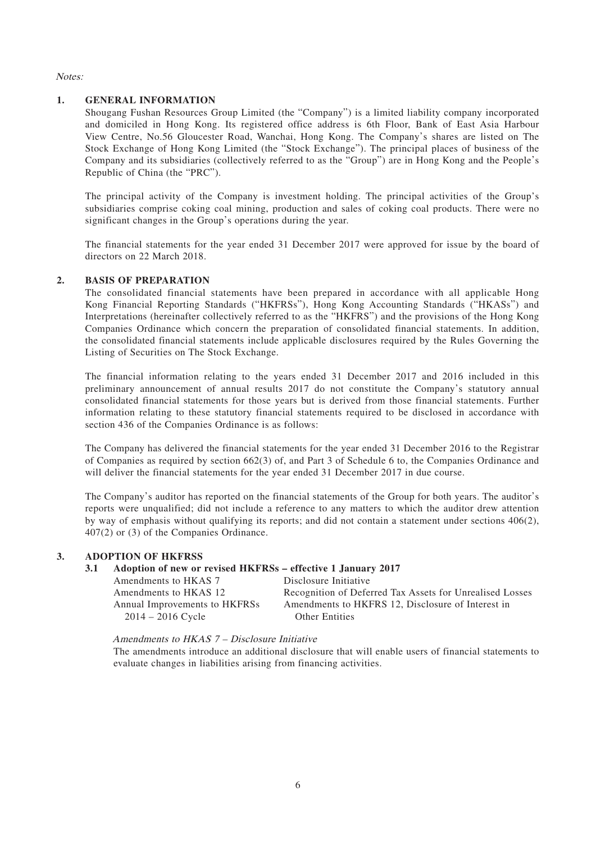Notes:

### **1. GENERAL INFORMATION**

Shougang Fushan Resources Group Limited (the "Company") is a limited liability company incorporated and domiciled in Hong Kong. Its registered office address is 6th Floor, Bank of East Asia Harbour View Centre, No.56 Gloucester Road, Wanchai, Hong Kong. The Company's shares are listed on The Stock Exchange of Hong Kong Limited (the "Stock Exchange"). The principal places of business of the Company and its subsidiaries (collectively referred to as the "Group") are in Hong Kong and the People's Republic of China (the "PRC").

The principal activity of the Company is investment holding. The principal activities of the Group's subsidiaries comprise coking coal mining, production and sales of coking coal products. There were no significant changes in the Group's operations during the year.

The financial statements for the year ended 31 December 2017 were approved for issue by the board of directors on 22 March 2018.

### **2. BASIS OF PREPARATION**

The consolidated financial statements have been prepared in accordance with all applicable Hong Kong Financial Reporting Standards ("HKFRSs"), Hong Kong Accounting Standards ("HKASs") and Interpretations (hereinafter collectively referred to as the "HKFRS") and the provisions of the Hong Kong Companies Ordinance which concern the preparation of consolidated financial statements. In addition, the consolidated financial statements include applicable disclosures required by the Rules Governing the Listing of Securities on The Stock Exchange.

The financial information relating to the years ended 31 December 2017 and 2016 included in this preliminary announcement of annual results 2017 do not constitute the Company's statutory annual consolidated financial statements for those years but is derived from those financial statements. Further information relating to these statutory financial statements required to be disclosed in accordance with section 436 of the Companies Ordinance is as follows:

The Company has delivered the financial statements for the year ended 31 December 2016 to the Registrar of Companies as required by section 662(3) of, and Part 3 of Schedule 6 to, the Companies Ordinance and will deliver the financial statements for the year ended 31 December 2017 in due course.

The Company's auditor has reported on the financial statements of the Group for both years. The auditor's reports were unqualified; did not include a reference to any matters to which the auditor drew attention by way of emphasis without qualifying its reports; and did not contain a statement under sections 406(2), 407(2) or (3) of the Companies Ordinance.

### **3. ADOPTION OF HKFRSS**

### **3.1 Adoption of new or revised HKFRSs – effective 1 January 2017**

| Amendments to HKAS 7          | Disclosure Initiative                                    |
|-------------------------------|----------------------------------------------------------|
| Amendments to HKAS 12         | Recognition of Deferred Tax Assets for Unrealised Losses |
| Annual Improvements to HKFRSs | Amendments to HKFRS 12, Disclosure of Interest in        |
| $2014 - 2016$ Cycle           | <b>Other Entities</b>                                    |

Amendments to HKAS 7 – Disclosure Initiative

The amendments introduce an additional disclosure that will enable users of financial statements to evaluate changes in liabilities arising from financing activities.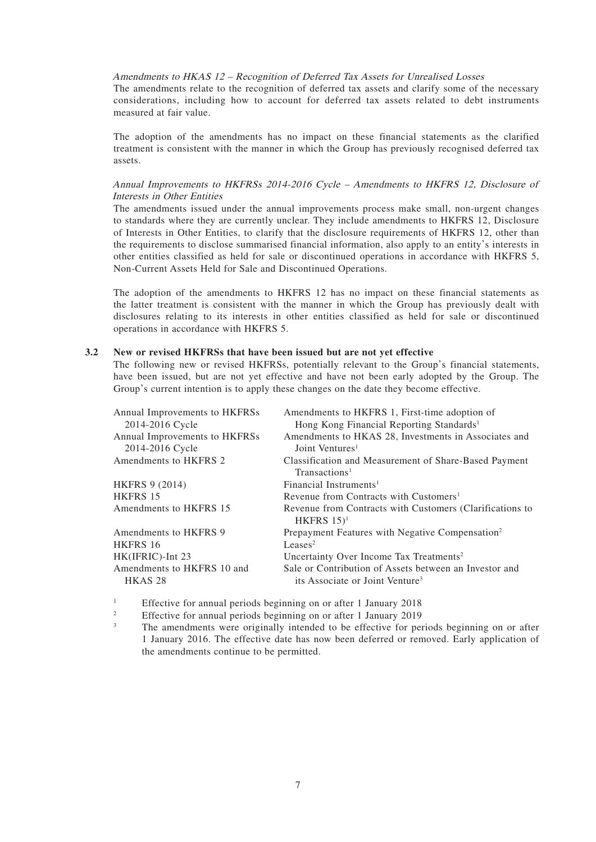### Amendments to HKAS 12 – Recognition of Deferred Tax Assets for Unrealised Losses

The amendments relate to the recognition of deferred tax assets and clarify some of the necessary considerations, including how to account for deferred tax assets related to debt instruments measured at fair value.

The adoption of the amendments has no impact on these financial statements as the clarified treatment is consistent with the manner in which the Group has previously recognised deferred tax assets.

#### Annual Improvements to HKFRSs 2014-2016 Cycle – Amendments to HKFRS 12, Disclosure of Interests in Other Entities

The amendments issued under the annual improvements process make small, non-urgent changes to standards where they are currently unclear. They include amendments to HKFRS 12, Disclosure of Interests in Other Entities, to clarify that the disclosure requirements of HKFRS 12, other than the requirements to disclose summarised financial information, also apply to an entity's interests in other entities classified as held for sale or discontinued operations in accordance with HKFRS 5, Non-Current Assets Held for Sale and Discontinued Operations.

The adoption of the amendments to HKFRS 12 has no impact on these financial statements as the latter treatment is consistent with the manner in which the Group has previously dealt with disclosures relating to its interests in other entities classified as held for sale or discontinued operations in accordance with HKFRS 5.

#### **3.2 New or revised HKFRSs that have been issued but are not yet effective**

The following new or revised HKFRSs, potentially relevant to the Group's financial statements, have been issued, but are not yet effective and have not been early adopted by the Group. The Group's current intention is to apply these changes on the date they become effective.

| Annual Improvements to HKFRSs<br>2014-2016 Cycle | Amendments to HKFRS 1, First-time adoption of<br>Hong Kong Financial Reporting Standards <sup>1</sup> |
|--------------------------------------------------|-------------------------------------------------------------------------------------------------------|
| Annual Improvements to HKFRSs                    | Amendments to HKAS 28, Investments in Associates and<br>Joint Ventures <sup>1</sup>                   |
| 2014-2016 Cycle<br>Amendments to HKFRS 2         | Classification and Measurement of Share-Based Payment                                                 |
|                                                  | Transactions <sup>1</sup>                                                                             |
| HKFRS 9 (2014)                                   | Financial Instruments <sup>1</sup>                                                                    |
| <b>HKFRS 15</b>                                  | Revenue from Contracts with Customers <sup>1</sup>                                                    |
| Amendments to HKFRS 15                           | Revenue from Contracts with Customers (Clarifications to<br>HKFRS $15$ <sup>1</sup>                   |
| Amendments to HKFRS 9                            | Prepayment Features with Negative Compensation <sup>2</sup>                                           |
| <b>HKFRS 16</b>                                  | Leases <sup>2</sup>                                                                                   |
| HK(IFRIC)-Int 23                                 | Uncertainty Over Income Tax Treatments <sup>2</sup>                                                   |
| Amendments to HKFRS 10 and<br>HKAS <sub>28</sub> | Sale or Contribution of Assets between an Investor and<br>its Associate or Joint Venture <sup>3</sup> |

<sup>1</sup> Effective for annual periods beginning on or after 1 January 2018

<sup>2</sup> Effective for annual periods beginning on or after 1 January 2019

<sup>3</sup> The amendments were originally intended to be effective for periods beginning on or after 1 January 2016. The effective date has now been deferred or removed. Early application of the amendments continue to be permitted.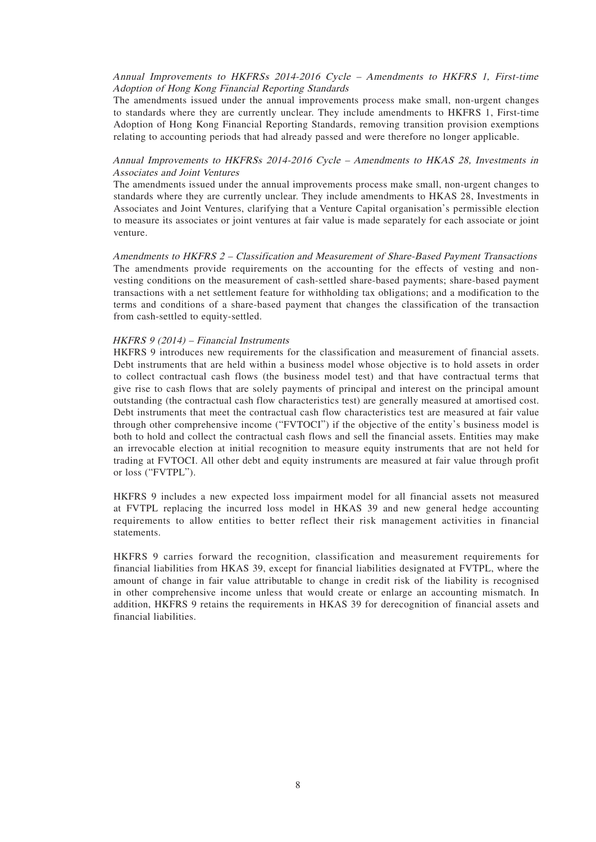#### Annual Improvements to HKFRSs 2014-2016 Cycle – Amendments to HKFRS 1, First-time Adoption of Hong Kong Financial Reporting Standards

The amendments issued under the annual improvements process make small, non-urgent changes to standards where they are currently unclear. They include amendments to HKFRS 1, First-time Adoption of Hong Kong Financial Reporting Standards, removing transition provision exemptions relating to accounting periods that had already passed and were therefore no longer applicable.

### Annual Improvements to HKFRSs 2014-2016 Cycle – Amendments to HKAS 28, Investments in Associates and Joint Ventures

The amendments issued under the annual improvements process make small, non-urgent changes to standards where they are currently unclear. They include amendments to HKAS 28, Investments in Associates and Joint Ventures, clarifying that a Venture Capital organisation's permissible election to measure its associates or joint ventures at fair value is made separately for each associate or joint venture.

Amendments to HKFRS 2 – Classification and Measurement of Share-Based Payment Transactions The amendments provide requirements on the accounting for the effects of vesting and nonvesting conditions on the measurement of cash-settled share-based payments; share-based payment transactions with a net settlement feature for withholding tax obligations; and a modification to the terms and conditions of a share-based payment that changes the classification of the transaction from cash-settled to equity-settled.

#### HKFRS 9 (2014) – Financial Instruments

HKFRS 9 introduces new requirements for the classification and measurement of financial assets. Debt instruments that are held within a business model whose objective is to hold assets in order to collect contractual cash flows (the business model test) and that have contractual terms that give rise to cash flows that are solely payments of principal and interest on the principal amount outstanding (the contractual cash flow characteristics test) are generally measured at amortised cost. Debt instruments that meet the contractual cash flow characteristics test are measured at fair value through other comprehensive income ("FVTOCI") if the objective of the entity's business model is both to hold and collect the contractual cash flows and sell the financial assets. Entities may make an irrevocable election at initial recognition to measure equity instruments that are not held for trading at FVTOCI. All other debt and equity instruments are measured at fair value through profit or loss ("FVTPL").

HKFRS 9 includes a new expected loss impairment model for all financial assets not measured at FVTPL replacing the incurred loss model in HKAS 39 and new general hedge accounting requirements to allow entities to better reflect their risk management activities in financial statements.

HKFRS 9 carries forward the recognition, classification and measurement requirements for financial liabilities from HKAS 39, except for financial liabilities designated at FVTPL, where the amount of change in fair value attributable to change in credit risk of the liability is recognised in other comprehensive income unless that would create or enlarge an accounting mismatch. In addition, HKFRS 9 retains the requirements in HKAS 39 for derecognition of financial assets and financial liabilities.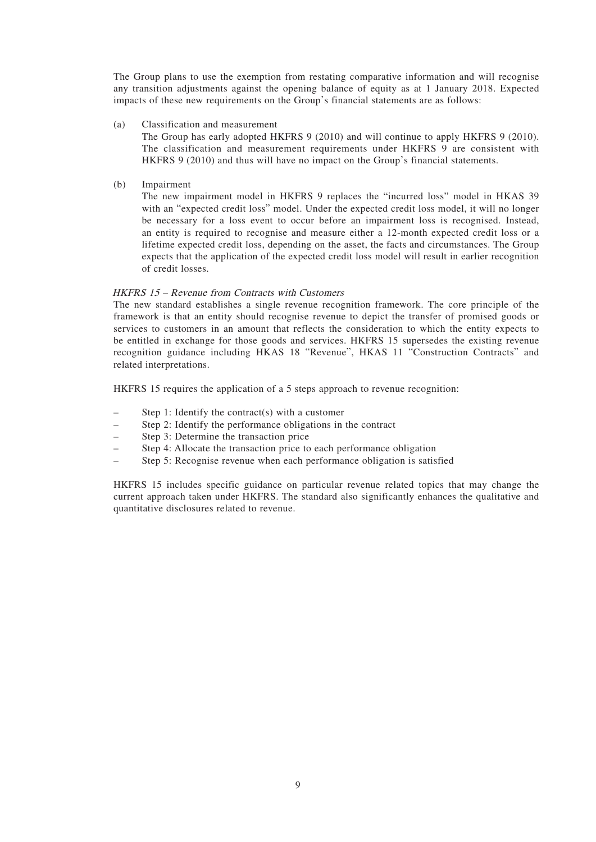The Group plans to use the exemption from restating comparative information and will recognise any transition adjustments against the opening balance of equity as at 1 January 2018. Expected impacts of these new requirements on the Group's financial statements are as follows:

#### (a) Classification and measurement

The Group has early adopted HKFRS 9 (2010) and will continue to apply HKFRS 9 (2010). The classification and measurement requirements under HKFRS 9 are consistent with HKFRS 9 (2010) and thus will have no impact on the Group's financial statements.

(b) Impairment

The new impairment model in HKFRS 9 replaces the "incurred loss" model in HKAS 39 with an "expected credit loss" model. Under the expected credit loss model, it will no longer be necessary for a loss event to occur before an impairment loss is recognised. Instead, an entity is required to recognise and measure either a 12-month expected credit loss or a lifetime expected credit loss, depending on the asset, the facts and circumstances. The Group expects that the application of the expected credit loss model will result in earlier recognition of credit losses.

### HKFRS 15 – Revenue from Contracts with Customers

The new standard establishes a single revenue recognition framework. The core principle of the framework is that an entity should recognise revenue to depict the transfer of promised goods or services to customers in an amount that reflects the consideration to which the entity expects to be entitled in exchange for those goods and services. HKFRS 15 supersedes the existing revenue recognition guidance including HKAS 18 "Revenue", HKAS 11 "Construction Contracts" and related interpretations.

HKFRS 15 requires the application of a 5 steps approach to revenue recognition:

- Step 1: Identify the contract(s) with a customer
- Step 2: Identify the performance obligations in the contract
- Step 3: Determine the transaction price
- Step 4: Allocate the transaction price to each performance obligation
- Step 5: Recognise revenue when each performance obligation is satisfied

HKFRS 15 includes specific guidance on particular revenue related topics that may change the current approach taken under HKFRS. The standard also significantly enhances the qualitative and quantitative disclosures related to revenue.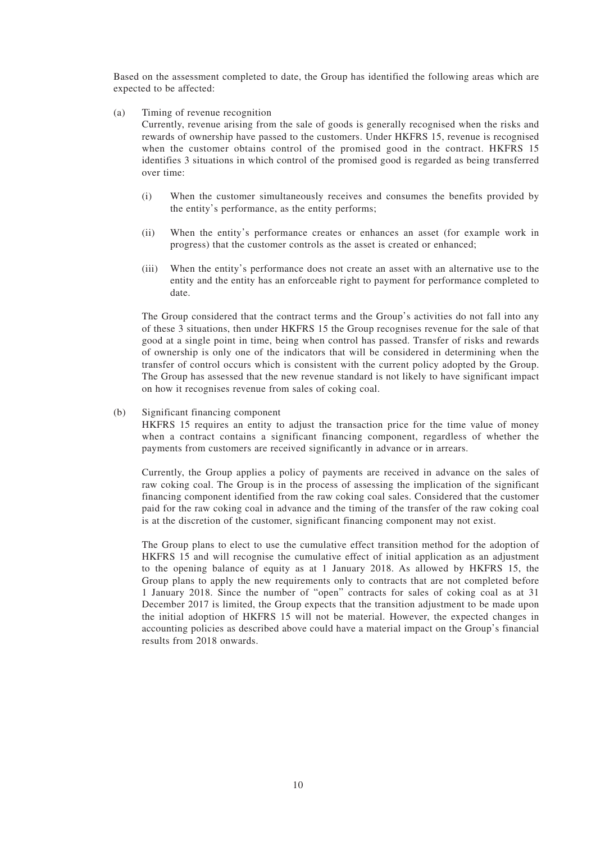Based on the assessment completed to date, the Group has identified the following areas which are expected to be affected:

(a) Timing of revenue recognition

Currently, revenue arising from the sale of goods is generally recognised when the risks and rewards of ownership have passed to the customers. Under HKFRS 15, revenue is recognised when the customer obtains control of the promised good in the contract. HKFRS 15 identifies 3 situations in which control of the promised good is regarded as being transferred over time:

- (i) When the customer simultaneously receives and consumes the benefits provided by the entity's performance, as the entity performs;
- (ii) When the entity's performance creates or enhances an asset (for example work in progress) that the customer controls as the asset is created or enhanced;
- (iii) When the entity's performance does not create an asset with an alternative use to the entity and the entity has an enforceable right to payment for performance completed to date.

The Group considered that the contract terms and the Group's activities do not fall into any of these 3 situations, then under HKFRS 15 the Group recognises revenue for the sale of that good at a single point in time, being when control has passed. Transfer of risks and rewards of ownership is only one of the indicators that will be considered in determining when the transfer of control occurs which is consistent with the current policy adopted by the Group. The Group has assessed that the new revenue standard is not likely to have significant impact on how it recognises revenue from sales of coking coal.

#### (b) Significant financing component

HKFRS 15 requires an entity to adjust the transaction price for the time value of money when a contract contains a significant financing component, regardless of whether the payments from customers are received significantly in advance or in arrears.

Currently, the Group applies a policy of payments are received in advance on the sales of raw coking coal. The Group is in the process of assessing the implication of the significant financing component identified from the raw coking coal sales. Considered that the customer paid for the raw coking coal in advance and the timing of the transfer of the raw coking coal is at the discretion of the customer, significant financing component may not exist.

The Group plans to elect to use the cumulative effect transition method for the adoption of HKFRS 15 and will recognise the cumulative effect of initial application as an adjustment to the opening balance of equity as at 1 January 2018. As allowed by HKFRS 15, the Group plans to apply the new requirements only to contracts that are not completed before 1 January 2018. Since the number of "open" contracts for sales of coking coal as at 31 December 2017 is limited, the Group expects that the transition adjustment to be made upon the initial adoption of HKFRS 15 will not be material. However, the expected changes in accounting policies as described above could have a material impact on the Group's financial results from 2018 onwards.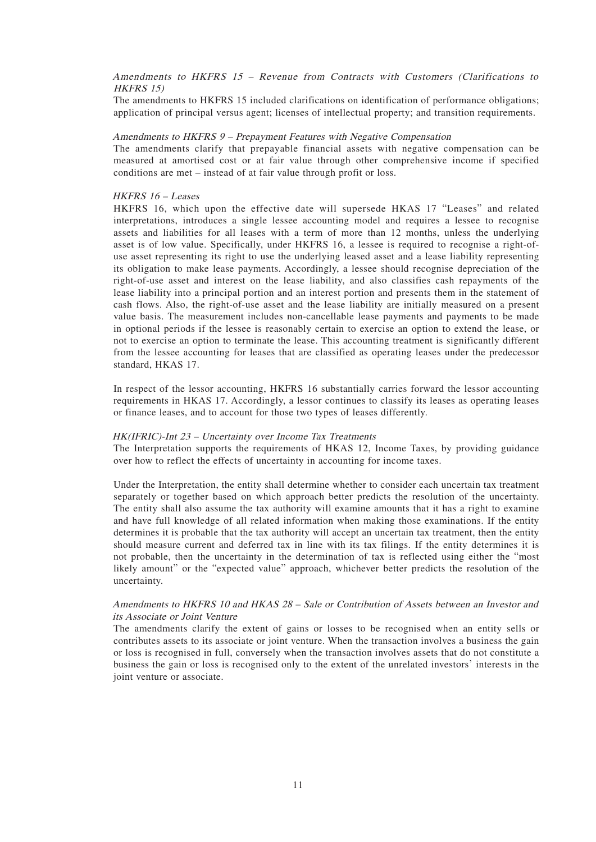### Amendments to HKFRS 15 – Revenue from Contracts with Customers (Clarifications to HKFRS 15)

The amendments to HKFRS 15 included clarifications on identification of performance obligations; application of principal versus agent; licenses of intellectual property; and transition requirements.

#### Amendments to HKFRS 9 – Prepayment Features with Negative Compensation

The amendments clarify that prepayable financial assets with negative compensation can be measured at amortised cost or at fair value through other comprehensive income if specified conditions are met – instead of at fair value through profit or loss.

### HKFRS 16 – Leases

HKFRS 16, which upon the effective date will supersede HKAS 17 "Leases" and related interpretations, introduces a single lessee accounting model and requires a lessee to recognise assets and liabilities for all leases with a term of more than 12 months, unless the underlying asset is of low value. Specifically, under HKFRS 16, a lessee is required to recognise a right-ofuse asset representing its right to use the underlying leased asset and a lease liability representing its obligation to make lease payments. Accordingly, a lessee should recognise depreciation of the right-of-use asset and interest on the lease liability, and also classifies cash repayments of the lease liability into a principal portion and an interest portion and presents them in the statement of cash flows. Also, the right-of-use asset and the lease liability are initially measured on a present value basis. The measurement includes non-cancellable lease payments and payments to be made in optional periods if the lessee is reasonably certain to exercise an option to extend the lease, or not to exercise an option to terminate the lease. This accounting treatment is significantly different from the lessee accounting for leases that are classified as operating leases under the predecessor standard, HKAS 17.

In respect of the lessor accounting, HKFRS 16 substantially carries forward the lessor accounting requirements in HKAS 17. Accordingly, a lessor continues to classify its leases as operating leases or finance leases, and to account for those two types of leases differently.

#### HK(IFRIC)-Int 23 – Uncertainty over Income Tax Treatments

The Interpretation supports the requirements of HKAS 12, Income Taxes, by providing guidance over how to reflect the effects of uncertainty in accounting for income taxes.

Under the Interpretation, the entity shall determine whether to consider each uncertain tax treatment separately or together based on which approach better predicts the resolution of the uncertainty. The entity shall also assume the tax authority will examine amounts that it has a right to examine and have full knowledge of all related information when making those examinations. If the entity determines it is probable that the tax authority will accept an uncertain tax treatment, then the entity should measure current and deferred tax in line with its tax filings. If the entity determines it is not probable, then the uncertainty in the determination of tax is reflected using either the "most likely amount" or the "expected value" approach, whichever better predicts the resolution of the uncertainty.

### Amendments to HKFRS 10 and HKAS 28 – Sale or Contribution of Assets between an Investor and its Associate or Joint Venture

The amendments clarify the extent of gains or losses to be recognised when an entity sells or contributes assets to its associate or joint venture. When the transaction involves a business the gain or loss is recognised in full, conversely when the transaction involves assets that do not constitute a business the gain or loss is recognised only to the extent of the unrelated investors' interests in the joint venture or associate.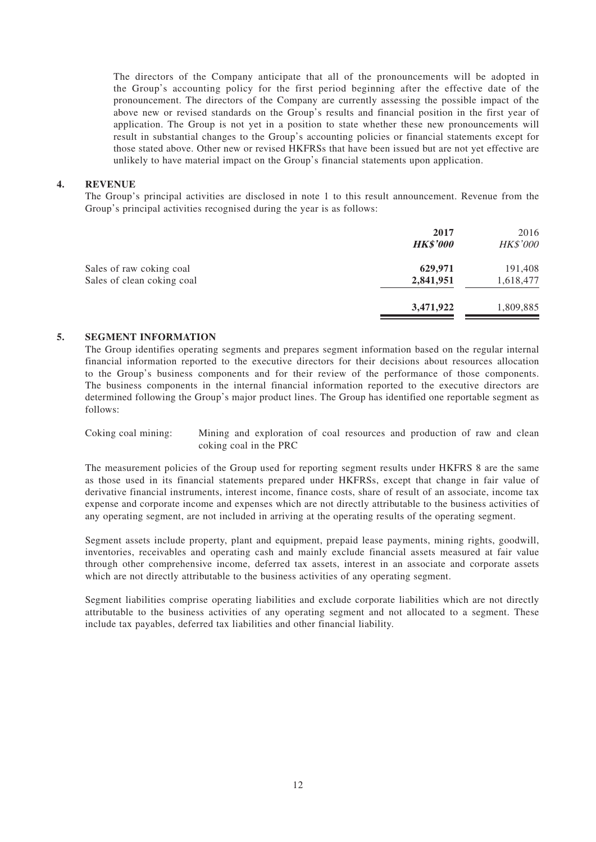The directors of the Company anticipate that all of the pronouncements will be adopted in the Group's accounting policy for the first period beginning after the effective date of the pronouncement. The directors of the Company are currently assessing the possible impact of the above new or revised standards on the Group's results and financial position in the first year of application. The Group is not yet in a position to state whether these new pronouncements will result in substantial changes to the Group's accounting policies or financial statements except for those stated above. Other new or revised HKFRSs that have been issued but are not yet effective are unlikely to have material impact on the Group's financial statements upon application.

#### **4. REVENUE**

The Group's principal activities are disclosed in note 1 to this result announcement. Revenue from the Group's principal activities recognised during the year is as follows:

|                                                        | 2017<br><b>HK\$'000</b> | 2016<br>HK\$'000     |
|--------------------------------------------------------|-------------------------|----------------------|
| Sales of raw coking coal<br>Sales of clean coking coal | 629,971<br>2,841,951    | 191,408<br>1,618,477 |
|                                                        | 3,471,922               | 1,809,885            |

#### **5. SEGMENT INFORMATION**

The Group identifies operating segments and prepares segment information based on the regular internal financial information reported to the executive directors for their decisions about resources allocation to the Group's business components and for their review of the performance of those components. The business components in the internal financial information reported to the executive directors are determined following the Group's major product lines. The Group has identified one reportable segment as follows:

Coking coal mining: Mining and exploration of coal resources and production of raw and clean coking coal in the PRC

The measurement policies of the Group used for reporting segment results under HKFRS 8 are the same as those used in its financial statements prepared under HKFRSs, except that change in fair value of derivative financial instruments, interest income, finance costs, share of result of an associate, income tax expense and corporate income and expenses which are not directly attributable to the business activities of any operating segment, are not included in arriving at the operating results of the operating segment.

Segment assets include property, plant and equipment, prepaid lease payments, mining rights, goodwill, inventories, receivables and operating cash and mainly exclude financial assets measured at fair value through other comprehensive income, deferred tax assets, interest in an associate and corporate assets which are not directly attributable to the business activities of any operating segment.

Segment liabilities comprise operating liabilities and exclude corporate liabilities which are not directly attributable to the business activities of any operating segment and not allocated to a segment. These include tax payables, deferred tax liabilities and other financial liability.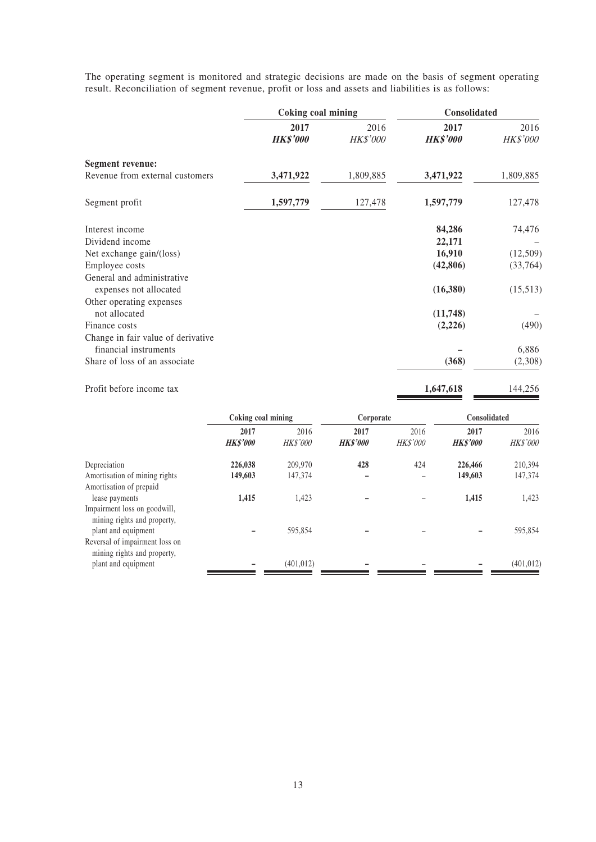The operating segment is monitored and strategic decisions are made on the basis of segment operating result. Reconciliation of segment revenue, profit or loss and assets and liabilities is as follows:

|                                                             | Coking coal mining |                 | Consolidated    |                 |
|-------------------------------------------------------------|--------------------|-----------------|-----------------|-----------------|
|                                                             | 2017               | 2016            | 2017            | 2016            |
|                                                             | <b>HK\$'000</b>    | <b>HK\$'000</b> | <b>HK\$'000</b> | <b>HK\$'000</b> |
| <b>Segment revenue:</b>                                     |                    |                 |                 |                 |
| Revenue from external customers                             | 3,471,922          | 1,809,885       | 3,471,922       | 1,809,885       |
| Segment profit                                              | 1,597,779          | 127,478         | 1,597,779       | 127,478         |
| Interest income                                             |                    |                 | 84,286          | 74,476          |
| Dividend income                                             |                    |                 | 22,171          |                 |
| Net exchange gain/(loss)                                    |                    |                 | 16,910          | (12,509)        |
| Employee costs                                              |                    |                 | (42,806)        | (33,764)        |
| General and administrative                                  |                    |                 |                 |                 |
| expenses not allocated                                      |                    |                 | (16,380)        | (15,513)        |
| Other operating expenses                                    |                    |                 |                 |                 |
| not allocated                                               |                    |                 | (11,748)        |                 |
| Finance costs                                               |                    |                 | (2,226)         | (490)           |
| Change in fair value of derivative<br>financial instruments |                    |                 |                 | 6,886           |
| Share of loss of an associate                               |                    |                 | (368)           | (2,308)         |
| Profit before income tax                                    |                    |                 | 1,647,618       | 144,256         |

|                                                                                    | Coking coal mining      |                         | Corporate               |                         | Consolidated            |                         |
|------------------------------------------------------------------------------------|-------------------------|-------------------------|-------------------------|-------------------------|-------------------------|-------------------------|
|                                                                                    | 2017<br><b>HK\$'000</b> | 2016<br><b>HK\$'000</b> | 2017<br><b>HK\$'000</b> | 2016<br><b>HK\$'000</b> | 2017<br><b>HK\$'000</b> | 2016<br><b>HK\$'000</b> |
| Depreciation                                                                       | 226,038                 | 209,970                 | 428                     | 424                     | 226,466                 | 210,394                 |
| Amortisation of mining rights                                                      | 149,603                 | 147,374                 |                         |                         | 149,603                 | 147,374                 |
| Amortisation of prepaid                                                            |                         |                         |                         |                         |                         |                         |
| lease payments                                                                     | 1,415                   | 1,423                   |                         |                         | 1,415                   | 1,423                   |
| Impairment loss on goodwill,<br>mining rights and property,<br>plant and equipment |                         | 595.854                 |                         |                         |                         | 595,854                 |
| Reversal of impairment loss on<br>mining rights and property,                      |                         |                         |                         |                         |                         |                         |
| plant and equipment                                                                |                         | (401, 012)              |                         |                         |                         | (401, 012)              |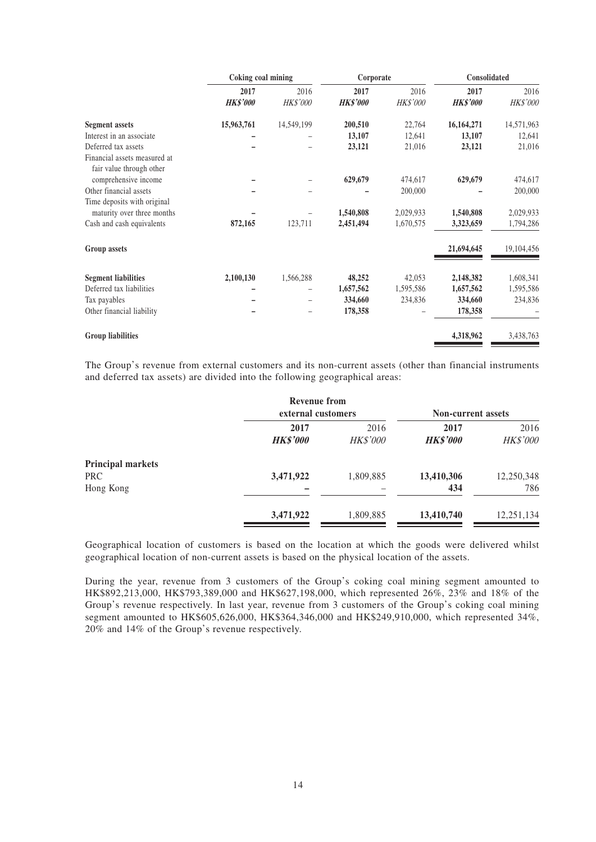|                                                           | Coking coal mining |                   | Corporate       |           | Consolidated    |            |
|-----------------------------------------------------------|--------------------|-------------------|-----------------|-----------|-----------------|------------|
|                                                           | 2017               | 2016              | 2017            | 2016      | 2017            | 2016       |
|                                                           | <b>HK\$'000</b>    | HK\$'000          | <b>HK\$'000</b> | HK\$'000  | <b>HK\$'000</b> | HK\$'000   |
| <b>Segment assets</b>                                     | 15,963,761         | 14,549,199        | 200,510         | 22,764    | 16,164,271      | 14,571,963 |
| Interest in an associate                                  |                    |                   | 13,107          | 12,641    | 13,107          | 12,641     |
| Deferred tax assets                                       |                    |                   | 23,121          | 21,016    | 23,121          | 21,016     |
| Financial assets measured at<br>fair value through other  |                    |                   |                 |           |                 |            |
| comprehensive income                                      |                    |                   | 629,679         | 474,617   | 629,679         | 474,617    |
| Other financial assets                                    |                    |                   |                 | 200,000   |                 | 200,000    |
| Time deposits with original<br>maturity over three months |                    |                   | 1,540,808       | 2,029,933 | 1,540,808       | 2,029,933  |
| Cash and cash equivalents                                 | 872,165            | 123,711           | 2,451,494       | 1,670,575 | 3,323,659       | 1,794,286  |
|                                                           |                    |                   |                 |           |                 |            |
| Group assets                                              |                    |                   |                 |           | 21,694,645      | 19,104,456 |
| <b>Segment liabilities</b>                                | 2,100,130          | 1,566,288         | 48,252          | 42,053    | 2,148,382       | 1,608,341  |
| Deferred tax liabilities                                  |                    | -                 | 1,657,562       | 1,595,586 | 1,657,562       | 1,595,586  |
| Tax payables                                              |                    | $\qquad \qquad -$ | 334,660         | 234,836   | 334,660         | 234,836    |
| Other financial liability                                 |                    |                   | 178,358         |           | 178,358         |            |
| <b>Group liabilities</b>                                  |                    |                   |                 |           | 4,318,962       | 3,438,763  |

The Group's revenue from external customers and its non-current assets (other than financial instruments and deferred tax assets) are divided into the following geographical areas:

|                                              | <b>Revenue from</b><br>external customers | <b>Non-current assets</b> |                         |                         |
|----------------------------------------------|-------------------------------------------|---------------------------|-------------------------|-------------------------|
|                                              | 2017<br><b>HK\$'000</b>                   | 2016<br><b>HK\$'000</b>   | 2017<br><b>HK\$'000</b> | 2016<br><b>HK\$'000</b> |
| Principal markets<br><b>PRC</b><br>Hong Kong | 3,471,922                                 | 1,809,885                 | 13,410,306<br>434       | 12,250,348<br>786       |
|                                              | 3,471,922                                 | 1,809,885                 | 13,410,740              | 12,251,134              |

Geographical location of customers is based on the location at which the goods were delivered whilst geographical location of non-current assets is based on the physical location of the assets.

During the year, revenue from 3 customers of the Group's coking coal mining segment amounted to HK\$892,213,000, HK\$793,389,000 and HK\$627,198,000, which represented 26%, 23% and 18% of the Group's revenue respectively. In last year, revenue from 3 customers of the Group's coking coal mining segment amounted to HK\$605,626,000, HK\$364,346,000 and HK\$249,910,000, which represented 34%, 20% and 14% of the Group's revenue respectively.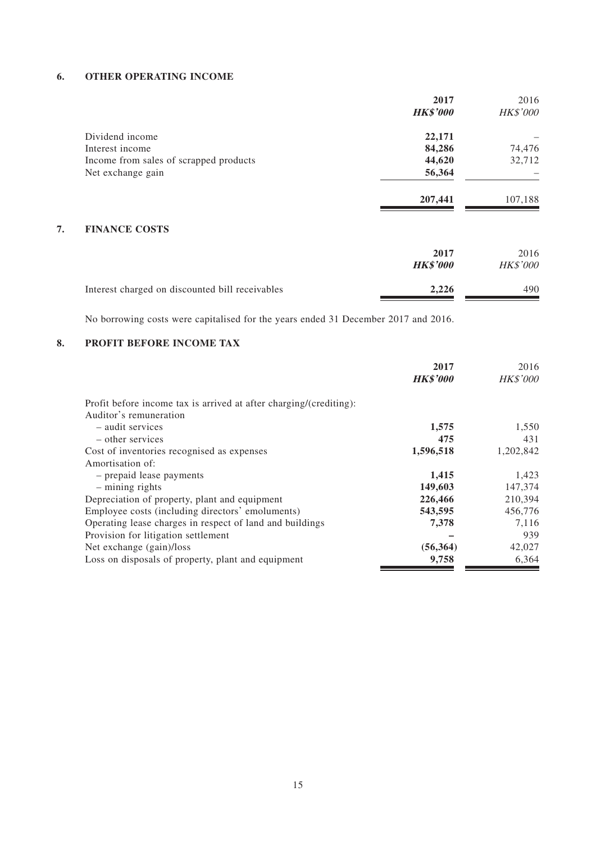### **6. OTHER OPERATING INCOME**

|                                        | 2017            | 2016            |
|----------------------------------------|-----------------|-----------------|
|                                        | <b>HK\$'000</b> | <b>HK\$'000</b> |
| Dividend income                        | 22,171          |                 |
| Interest income                        | 84,286          | 74,476          |
| Income from sales of scrapped products | 44,620          | 32,712          |
| Net exchange gain                      | 56,364          |                 |
|                                        | 207,441         | 107,188         |
|                                        |                 |                 |

### **7. FINANCE COSTS**

|                                                 | 2017<br><b>HK\$'000</b> | 2016<br><b>HK\$'000</b> |
|-------------------------------------------------|-------------------------|-------------------------|
| Interest charged on discounted bill receivables | 2.226                   | 490                     |

No borrowing costs were capitalised for the years ended 31 December 2017 and 2016.

### **8. PROFIT BEFORE INCOME TAX**

|                                                                                              | 2017            | 2016            |
|----------------------------------------------------------------------------------------------|-----------------|-----------------|
|                                                                                              | <b>HK\$'000</b> | <b>HK\$'000</b> |
| Profit before income tax is arrived at after charging/(crediting):<br>Auditor's remuneration |                 |                 |
| - audit services                                                                             | 1,575           | 1,550           |
| – other services                                                                             | 475             | 431             |
| Cost of inventories recognised as expenses                                                   | 1,596,518       | 1,202,842       |
| Amortisation of:                                                                             |                 |                 |
| - prepaid lease payments                                                                     | 1,415           | 1,423           |
| $-$ mining rights                                                                            | 149,603         | 147,374         |
| Depreciation of property, plant and equipment                                                | 226,466         | 210,394         |
| Employee costs (including directors' emoluments)                                             | 543,595         | 456,776         |
| Operating lease charges in respect of land and buildings                                     | 7,378           | 7,116           |
| Provision for litigation settlement                                                          |                 | 939             |
| Net exchange (gain)/loss                                                                     | (56, 364)       | 42,027          |
| Loss on disposals of property, plant and equipment                                           | 9,758           | 6,364           |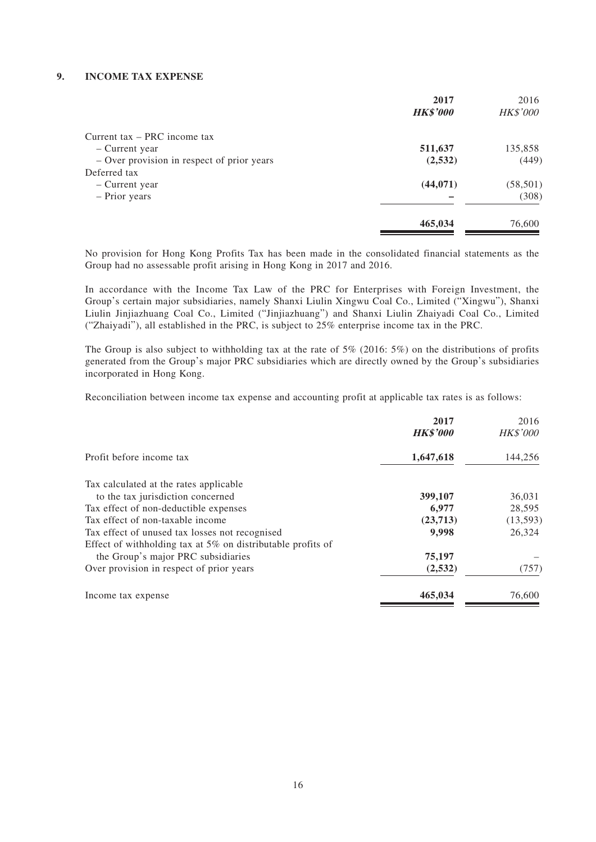#### **9. INCOME TAX EXPENSE**

|                                            | 2017<br><b>HK\$'000</b> | 2016<br><b>HK\$'000</b> |
|--------------------------------------------|-------------------------|-------------------------|
|                                            |                         |                         |
| Current tax – PRC income tax               |                         |                         |
| – Current year                             | 511,637                 | 135,858                 |
| - Over provision in respect of prior years | (2,532)                 | (449)                   |
| Deferred tax                               |                         |                         |
| – Current year                             | (44, 071)               | (58, 501)               |
| - Prior years                              |                         | (308)                   |
|                                            | 465,034                 | 76,600                  |

No provision for Hong Kong Profits Tax has been made in the consolidated financial statements as the Group had no assessable profit arising in Hong Kong in 2017 and 2016.

In accordance with the Income Tax Law of the PRC for Enterprises with Foreign Investment, the Group's certain major subsidiaries, namely Shanxi Liulin Xingwu Coal Co., Limited ("Xingwu"), Shanxi Liulin Jinjiazhuang Coal Co., Limited ("Jinjiazhuang") and Shanxi Liulin Zhaiyadi Coal Co., Limited ("Zhaiyadi"), all established in the PRC, is subject to 25% enterprise income tax in the PRC.

The Group is also subject to withholding tax at the rate of 5% (2016: 5%) on the distributions of profits generated from the Group's major PRC subsidiaries which are directly owned by the Group's subsidiaries incorporated in Hong Kong.

Reconciliation between income tax expense and accounting profit at applicable tax rates is as follows:

|                                                                | 2017<br><b>HK\$'000</b> | 2016<br><b>HK\$'000</b> |
|----------------------------------------------------------------|-------------------------|-------------------------|
| Profit before income tax                                       | 1,647,618               | 144,256                 |
| Tax calculated at the rates applicable                         |                         |                         |
| to the tax jurisdiction concerned                              | 399,107                 | 36,031                  |
| Tax effect of non-deductible expenses                          | 6,977                   | 28,595                  |
| Tax effect of non-taxable income                               | (23,713)                | (13, 593)               |
| Tax effect of unused tax losses not recognised                 | 9,998                   | 26,324                  |
| Effect of withholding tax at $5\%$ on distributable profits of |                         |                         |
| the Group's major PRC subsidiaries                             | 75,197                  |                         |
| Over provision in respect of prior years                       | (2,532)                 | (757)                   |
| Income tax expense                                             | 465,034                 | 76,600                  |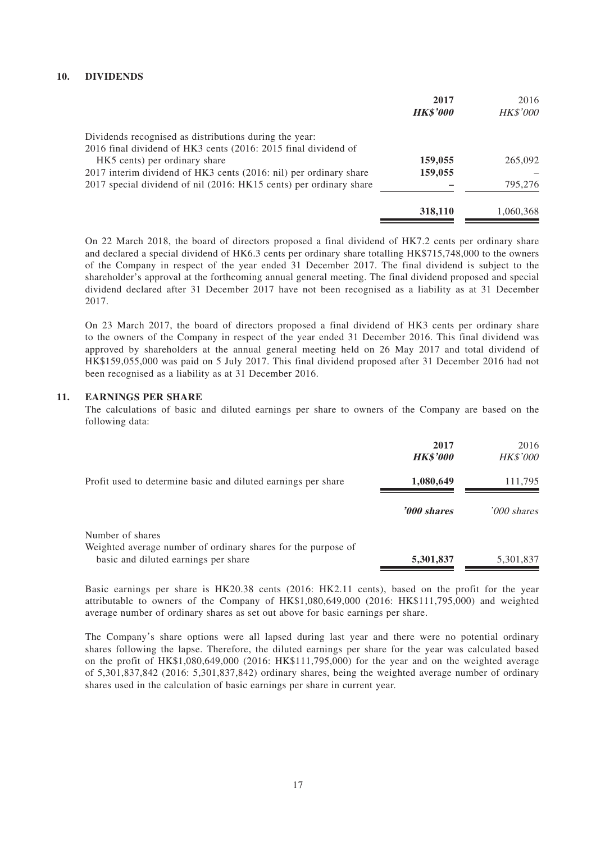#### **10. DIVIDENDS**

|                                                                    | 2017<br><b>HK\$'000</b> | 2016<br>HK\$'000 |
|--------------------------------------------------------------------|-------------------------|------------------|
| Dividends recognised as distributions during the year:             |                         |                  |
| 2016 final dividend of HK3 cents (2016: 2015 final dividend of     |                         |                  |
| HK5 cents) per ordinary share                                      | 159,055                 | 265,092          |
| 2017 interim dividend of HK3 cents (2016: nil) per ordinary share  | 159,055                 |                  |
| 2017 special dividend of nil (2016: HK15 cents) per ordinary share |                         | 795,276          |
|                                                                    | 318,110                 | 1,060,368        |

On 22 March 2018, the board of directors proposed a final dividend of HK7.2 cents per ordinary share and declared a special dividend of HK6.3 cents per ordinary share totalling HK\$715,748,000 to the owners of the Company in respect of the year ended 31 December 2017. The final dividend is subject to the shareholder's approval at the forthcoming annual general meeting. The final dividend proposed and special dividend declared after 31 December 2017 have not been recognised as a liability as at 31 December 2017.

On 23 March 2017, the board of directors proposed a final dividend of HK3 cents per ordinary share to the owners of the Company in respect of the year ended 31 December 2016. This final dividend was approved by shareholders at the annual general meeting held on 26 May 2017 and total dividend of HK\$159,055,000 was paid on 5 July 2017. This final dividend proposed after 31 December 2016 had not been recognised as a liability as at 31 December 2016.

#### **11. EARNINGS PER SHARE**

The calculations of basic and diluted earnings per share to owners of the Company are based on the following data:

|                                                                                   | 2017<br><b>HK\$'000</b> | 2016<br><b>HK\$'000</b> |
|-----------------------------------------------------------------------------------|-------------------------|-------------------------|
| Profit used to determine basic and diluted earnings per share                     | 1,080,649               | 111,795                 |
|                                                                                   | '000 shares             | '000 shares             |
| Number of shares<br>Weighted average number of ordinary shares for the purpose of |                         |                         |
| basic and diluted earnings per share                                              | 5,301,837               | 5,301,837               |

Basic earnings per share is HK20.38 cents (2016: HK2.11 cents), based on the profit for the year attributable to owners of the Company of HK\$1,080,649,000 (2016: HK\$111,795,000) and weighted average number of ordinary shares as set out above for basic earnings per share.

The Company's share options were all lapsed during last year and there were no potential ordinary shares following the lapse. Therefore, the diluted earnings per share for the year was calculated based on the profit of HK\$1,080,649,000 (2016: HK\$111,795,000) for the year and on the weighted average of 5,301,837,842 (2016: 5,301,837,842) ordinary shares, being the weighted average number of ordinary shares used in the calculation of basic earnings per share in current year.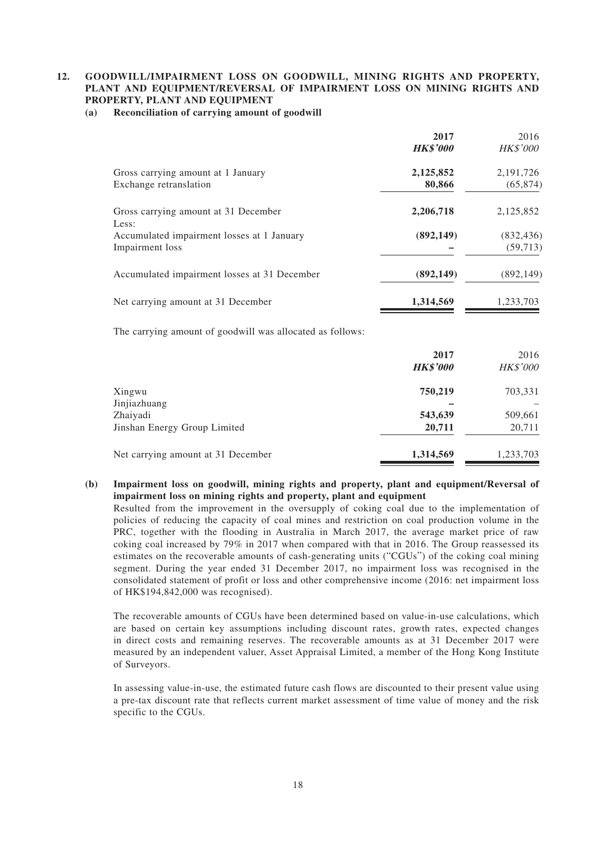### **12. GOODWILL/IMPAIRMENT LOSS ON GOODWILL, MINING RIGHTS AND PROPERTY, PLANT AND EQUIPMENT/REVERSAL OF IMPAIRMENT LOSS ON MINING RIGHTS AND PROPERTY, PLANT AND EQUIPMENT**

**(a) Reconciliation of carrying amount of goodwill**

|                                               | 2017            | 2016            |
|-----------------------------------------------|-----------------|-----------------|
|                                               | <b>HK\$'000</b> | <b>HK\$'000</b> |
| Gross carrying amount at 1 January            | 2,125,852       | 2, 191, 726     |
| Exchange retranslation                        | 80,866          | (65, 874)       |
| Gross carrying amount at 31 December<br>Less: | 2,206,718       | 2,125,852       |
| Accumulated impairment losses at 1 January    | (892, 149)      | (832, 436)      |
| Impairment loss                               |                 | (59, 713)       |
| Accumulated impairment losses at 31 December  | (892, 149)      | (892, 149)      |
| Net carrying amount at 31 December            | 1,314,569       | 1,233,703       |

The carrying amount of goodwill was allocated as follows:

|                                    | 2017<br><b>HK\$'000</b> | 2016<br><b>HK\$'000</b> |
|------------------------------------|-------------------------|-------------------------|
| Xingwu                             | 750,219                 | 703,331                 |
| Jinjiazhuang                       |                         |                         |
| Zhaiyadi                           | 543,639                 | 509,661                 |
| Jinshan Energy Group Limited       | 20,711                  | 20,711                  |
| Net carrying amount at 31 December | 1,314,569               | 1,233,703               |

### **(b) Impairment loss on goodwill, mining rights and property, plant and equipment/Reversal of impairment loss on mining rights and property, plant and equipment**

Resulted from the improvement in the oversupply of coking coal due to the implementation of policies of reducing the capacity of coal mines and restriction on coal production volume in the PRC, together with the flooding in Australia in March 2017, the average market price of raw coking coal increased by  $79\%$  in 2017 when compared with that in 2016. The Group reassessed its estimates on the recoverable amounts of cash-generating units ("CGUs") of the coking coal mining segment. During the year ended 31 December 2017, no impairment loss was recognised in the consolidated statement of profit or loss and other comprehensive income (2016: net impairment loss of HK\$194,842,000 was recognised).

The recoverable amounts of CGUs have been determined based on value-in-use calculations, which are based on certain key assumptions including discount rates, growth rates, expected changes in direct costs and remaining reserves. The recoverable amounts as at 31 December 2017 were measured by an independent valuer, Asset Appraisal Limited, a member of the Hong Kong Institute of Surveyors.

In assessing value-in-use, the estimated future cash flows are discounted to their present value using a pre-tax discount rate that reflects current market assessment of time value of money and the risk specific to the CGUs.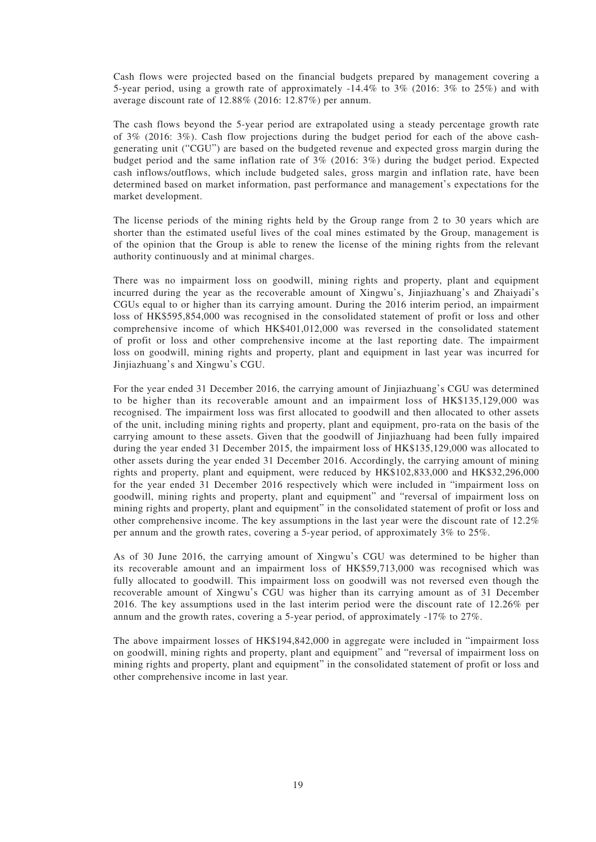Cash flows were projected based on the financial budgets prepared by management covering a 5-year period, using a growth rate of approximately -14.4% to 3% (2016: 3% to 25%) and with average discount rate of 12.88% (2016: 12.87%) per annum.

The cash flows beyond the 5-year period are extrapolated using a steady percentage growth rate of 3% (2016: 3%). Cash flow projections during the budget period for each of the above cashgenerating unit ("CGU") are based on the budgeted revenue and expected gross margin during the budget period and the same inflation rate of 3% (2016: 3%) during the budget period. Expected cash inflows/outflows, which include budgeted sales, gross margin and inflation rate, have been determined based on market information, past performance and management's expectations for the market development.

The license periods of the mining rights held by the Group range from 2 to 30 years which are shorter than the estimated useful lives of the coal mines estimated by the Group, management is of the opinion that the Group is able to renew the license of the mining rights from the relevant authority continuously and at minimal charges.

There was no impairment loss on goodwill, mining rights and property, plant and equipment incurred during the year as the recoverable amount of Xingwu's, Jinjiazhuang's and Zhaiyadi's CGUs equal to or higher than its carrying amount. During the 2016 interim period, an impairment loss of HK\$595,854,000 was recognised in the consolidated statement of profit or loss and other comprehensive income of which HK\$401,012,000 was reversed in the consolidated statement of profit or loss and other comprehensive income at the last reporting date. The impairment loss on goodwill, mining rights and property, plant and equipment in last year was incurred for Jinjiazhuang's and Xingwu's CGU.

For the year ended 31 December 2016, the carrying amount of Jinjiazhuang's CGU was determined to be higher than its recoverable amount and an impairment loss of HK\$135,129,000 was recognised. The impairment loss was first allocated to goodwill and then allocated to other assets of the unit, including mining rights and property, plant and equipment, pro-rata on the basis of the carrying amount to these assets. Given that the goodwill of Jinjiazhuang had been fully impaired during the year ended 31 December 2015, the impairment loss of HK\$135,129,000 was allocated to other assets during the year ended 31 December 2016. Accordingly, the carrying amount of mining rights and property, plant and equipment, were reduced by HK\$102,833,000 and HK\$32,296,000 for the year ended 31 December 2016 respectively which were included in "impairment loss on goodwill, mining rights and property, plant and equipment" and "reversal of impairment loss on mining rights and property, plant and equipment" in the consolidated statement of profit or loss and other comprehensive income. The key assumptions in the last year were the discount rate of 12.2% per annum and the growth rates, covering a 5-year period, of approximately 3% to 25%.

As of 30 June 2016, the carrying amount of Xingwu's CGU was determined to be higher than its recoverable amount and an impairment loss of HK\$59,713,000 was recognised which was fully allocated to goodwill. This impairment loss on goodwill was not reversed even though the recoverable amount of Xingwu's CGU was higher than its carrying amount as of 31 December 2016. The key assumptions used in the last interim period were the discount rate of 12.26% per annum and the growth rates, covering a 5-year period, of approximately -17% to 27%.

The above impairment losses of HK\$194,842,000 in aggregate were included in "impairment loss on goodwill, mining rights and property, plant and equipment" and "reversal of impairment loss on mining rights and property, plant and equipment" in the consolidated statement of profit or loss and other comprehensive income in last year.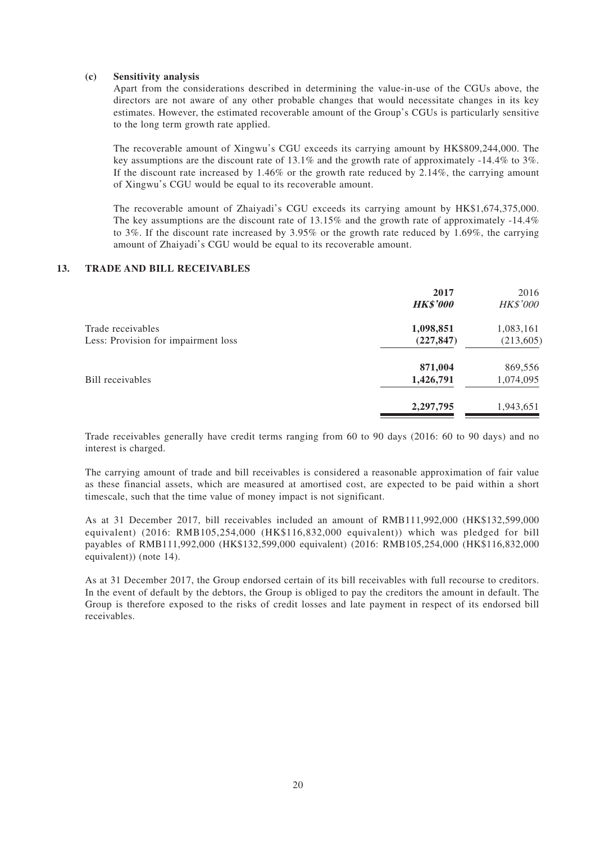#### **(c) Sensitivity analysis**

Apart from the considerations described in determining the value-in-use of the CGUs above, the directors are not aware of any other probable changes that would necessitate changes in its key estimates. However, the estimated recoverable amount of the Group's CGUs is particularly sensitive to the long term growth rate applied.

The recoverable amount of Xingwu's CGU exceeds its carrying amount by HK\$809,244,000. The key assumptions are the discount rate of 13.1% and the growth rate of approximately -14.4% to 3%. If the discount rate increased by 1.46% or the growth rate reduced by 2.14%, the carrying amount of Xingwu's CGU would be equal to its recoverable amount.

The recoverable amount of Zhaiyadi's CGU exceeds its carrying amount by HK\$1,674,375,000. The key assumptions are the discount rate of 13.15% and the growth rate of approximately -14.4% to 3%. If the discount rate increased by 3.95% or the growth rate reduced by 1.69%, the carrying amount of Zhaiyadi's CGU would be equal to its recoverable amount.

#### **13. TRADE AND BILL RECEIVABLES**

|                                     | 2017<br><b>HK\$'000</b> | 2016<br><b>HK\$'000</b> |
|-------------------------------------|-------------------------|-------------------------|
| Trade receivables                   | 1,098,851               | 1,083,161               |
| Less: Provision for impairment loss | (227, 847)              | (213, 605)              |
|                                     | 871,004                 | 869,556                 |
| Bill receivables                    | 1,426,791               | 1,074,095               |
|                                     | 2,297,795               | 1,943,651               |
|                                     |                         |                         |

Trade receivables generally have credit terms ranging from 60 to 90 days (2016: 60 to 90 days) and no interest is charged.

The carrying amount of trade and bill receivables is considered a reasonable approximation of fair value as these financial assets, which are measured at amortised cost, are expected to be paid within a short timescale, such that the time value of money impact is not significant.

As at 31 December 2017, bill receivables included an amount of RMB111,992,000 (HK\$132,599,000 equivalent) (2016: RMB105,254,000 (HK\$116,832,000 equivalent)) which was pledged for bill payables of RMB111,992,000 (HK\$132,599,000 equivalent) (2016: RMB105,254,000 (HK\$116,832,000 equivalent)) (note 14).

As at 31 December 2017, the Group endorsed certain of its bill receivables with full recourse to creditors. In the event of default by the debtors, the Group is obliged to pay the creditors the amount in default. The Group is therefore exposed to the risks of credit losses and late payment in respect of its endorsed bill receivables.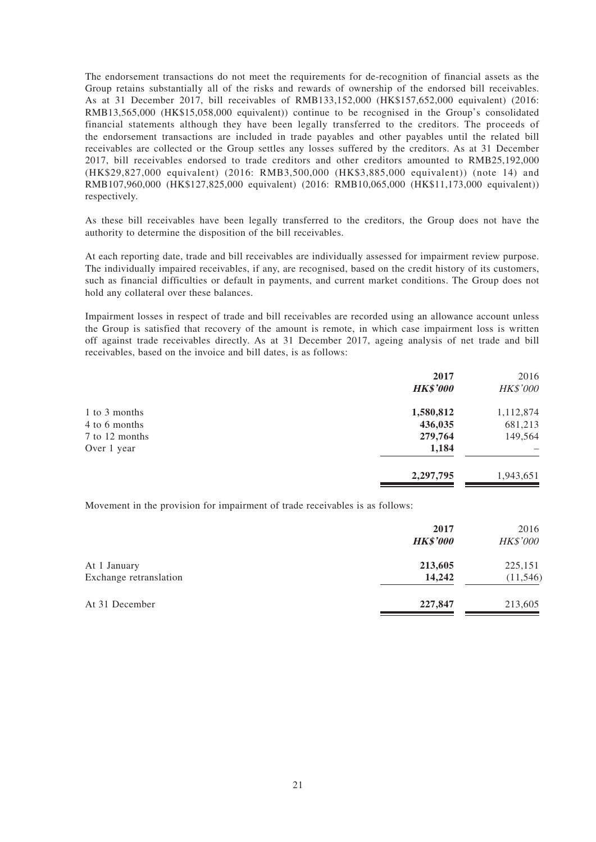The endorsement transactions do not meet the requirements for de-recognition of financial assets as the Group retains substantially all of the risks and rewards of ownership of the endorsed bill receivables. As at 31 December 2017, bill receivables of RMB133,152,000 (HK\$157,652,000 equivalent) (2016: RMB13,565,000 (HK\$15,058,000 equivalent)) continue to be recognised in the Group's consolidated financial statements although they have been legally transferred to the creditors. The proceeds of the endorsement transactions are included in trade payables and other payables until the related bill receivables are collected or the Group settles any losses suffered by the creditors. As at 31 December 2017, bill receivables endorsed to trade creditors and other creditors amounted to RMB25,192,000 (HK\$29,827,000 equivalent) (2016: RMB3,500,000 (HK\$3,885,000 equivalent)) (note 14) and RMB107,960,000 (HK\$127,825,000 equivalent) (2016: RMB10,065,000 (HK\$11,173,000 equivalent)) respectively.

As these bill receivables have been legally transferred to the creditors, the Group does not have the authority to determine the disposition of the bill receivables.

At each reporting date, trade and bill receivables are individually assessed for impairment review purpose. The individually impaired receivables, if any, are recognised, based on the credit history of its customers, such as financial difficulties or default in payments, and current market conditions. The Group does not hold any collateral over these balances.

Impairment losses in respect of trade and bill receivables are recorded using an allowance account unless the Group is satisfied that recovery of the amount is remote, in which case impairment loss is written off against trade receivables directly. As at 31 December 2017, ageing analysis of net trade and bill receivables, based on the invoice and bill dates, is as follows:

|                | 2017<br><b>HK\$'000</b> | 2016<br>HK\$'000 |
|----------------|-------------------------|------------------|
| 1 to 3 months  | 1,580,812               | 1,112,874        |
| 4 to 6 months  | 436,035                 | 681,213          |
| 7 to 12 months | 279,764                 | 149,564          |
| Over 1 year    | 1,184                   |                  |
|                | 2,297,795               | 1,943,651        |

Movement in the provision for impairment of trade receivables is as follows:

|                                        | 2017<br><b>HK\$'000</b> | 2016<br><b>HK\$'000</b> |
|----------------------------------------|-------------------------|-------------------------|
| At 1 January<br>Exchange retranslation | 213,605<br>14,242       | 225,151<br>(11, 546)    |
|                                        |                         |                         |
| At 31 December                         | 227,847                 | 213,605                 |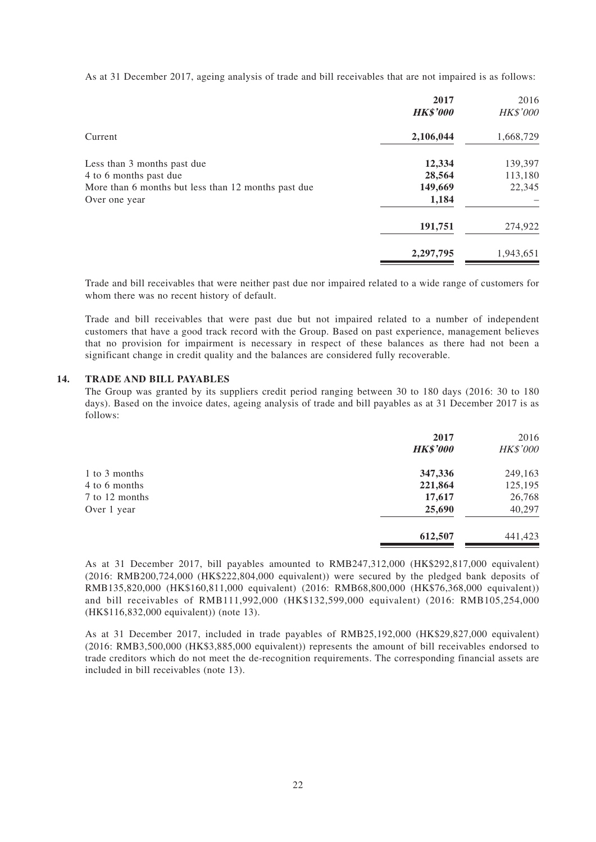As at 31 December 2017, ageing analysis of trade and bill receivables that are not impaired is as follows:

|                                                     | 2017<br><b>HK\$'000</b> | 2016<br>HK\$'000 |
|-----------------------------------------------------|-------------------------|------------------|
| Current                                             | 2,106,044               | 1,668,729        |
| Less than 3 months past due                         | 12,334                  | 139,397          |
| 4 to 6 months past due                              | 28,564                  | 113,180          |
| More than 6 months but less than 12 months past due | 149,669                 | 22,345           |
| Over one year                                       | 1,184                   |                  |
|                                                     | 191,751                 | 274,922          |
|                                                     | 2,297,795               | 1,943,651        |

Trade and bill receivables that were neither past due nor impaired related to a wide range of customers for whom there was no recent history of default.

Trade and bill receivables that were past due but not impaired related to a number of independent customers that have a good track record with the Group. Based on past experience, management believes that no provision for impairment is necessary in respect of these balances as there had not been a significant change in credit quality and the balances are considered fully recoverable.

#### **14. TRADE AND BILL PAYABLES**

The Group was granted by its suppliers credit period ranging between 30 to 180 days (2016: 30 to 180 days). Based on the invoice dates, ageing analysis of trade and bill payables as at 31 December 2017 is as follows:

|                | 2017            | 2016     |
|----------------|-----------------|----------|
|                | <b>HK\$'000</b> | HK\$'000 |
| 1 to 3 months  | 347,336         | 249,163  |
| 4 to 6 months  | 221,864         | 125,195  |
| 7 to 12 months | 17,617          | 26,768   |
| Over 1 year    | 25,690          | 40,297   |
|                | 612,507         | 441,423  |

As at 31 December 2017, bill payables amounted to RMB247,312,000 (HK\$292,817,000 equivalent) (2016: RMB200,724,000 (HK\$222,804,000 equivalent)) were secured by the pledged bank deposits of RMB135,820,000 (HK\$160,811,000 equivalent) (2016: RMB68,800,000 (HK\$76,368,000 equivalent)) and bill receivables of RMB111,992,000 (HK\$132,599,000 equivalent) (2016: RMB105,254,000 (HK\$116,832,000 equivalent)) (note 13).

As at 31 December 2017, included in trade payables of RMB25,192,000 (HK\$29,827,000 equivalent) (2016: RMB3,500,000 (HK\$3,885,000 equivalent)) represents the amount of bill receivables endorsed to trade creditors which do not meet the de-recognition requirements. The corresponding financial assets are included in bill receivables (note 13).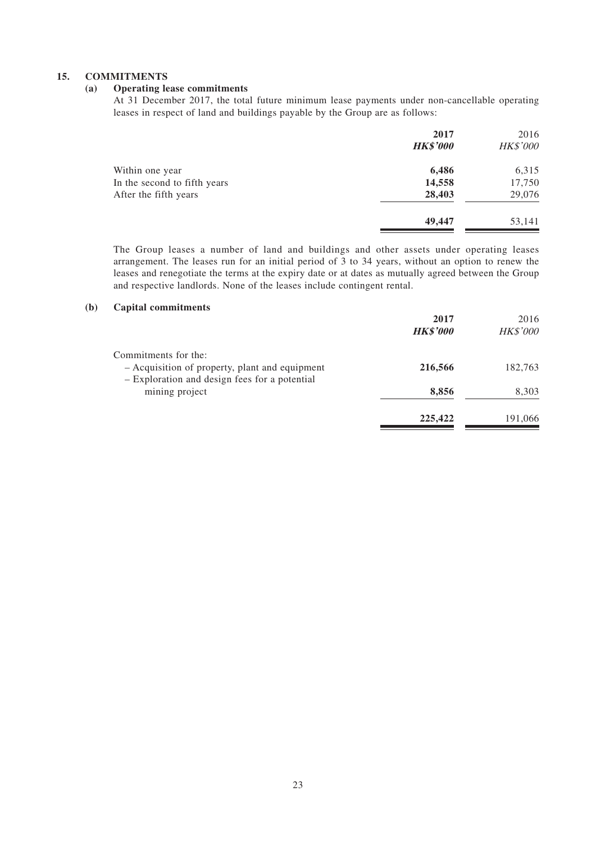### **15. COMMITMENTS**

### **(a) Operating lease commitments**

At 31 December 2017, the total future minimum lease payments under non-cancellable operating leases in respect of land and buildings payable by the Group are as follows:

|                              | 2017<br><b>HK\$'000</b> | 2016<br><b>HK\$'000</b> |
|------------------------------|-------------------------|-------------------------|
| Within one year              | 6,486                   | 6,315                   |
| In the second to fifth years | 14,558                  | 17,750                  |
| After the fifth years        | 28,403                  | 29,076                  |
|                              | 49,447                  | 53,141                  |
|                              |                         |                         |

The Group leases a number of land and buildings and other assets under operating leases arrangement. The leases run for an initial period of 3 to 34 years, without an option to renew the leases and renegotiate the terms at the expiry date or at dates as mutually agreed between the Group and respective landlords. None of the leases include contingent rental.

#### **(b) Capital commitments**

|                                                                                                 | 2017<br><b>HK\$'000</b> | 2016<br><b>HK\$'000</b> |
|-------------------------------------------------------------------------------------------------|-------------------------|-------------------------|
| Commitments for the:                                                                            |                         |                         |
| - Acquisition of property, plant and equipment<br>- Exploration and design fees for a potential | 216,566                 | 182,763                 |
| mining project                                                                                  | 8,856                   | 8,303                   |
|                                                                                                 | 225,422                 | 191,066                 |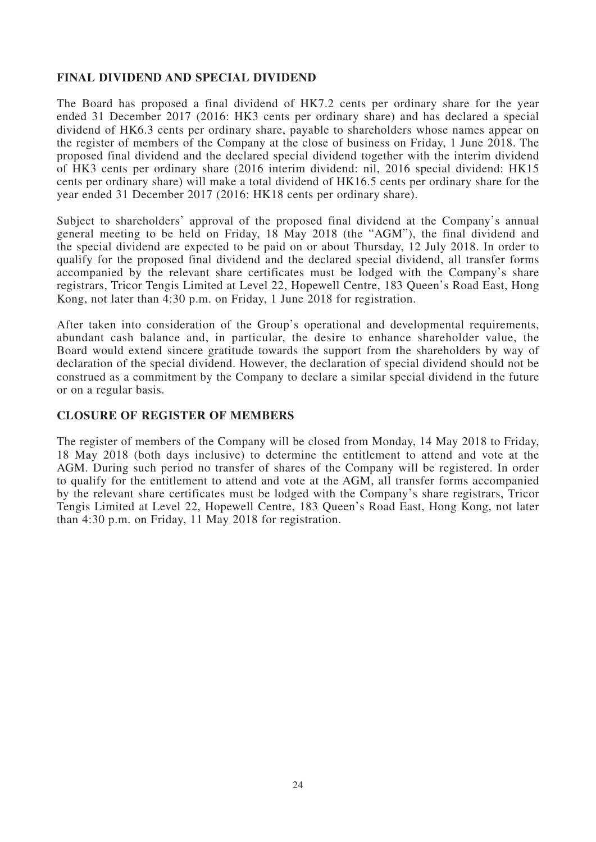# **FINAL DIVIDEND AND SPECIAL DIVIDEND**

The Board has proposed a final dividend of HK7.2 cents per ordinary share for the year ended 31 December 2017 (2016: HK3 cents per ordinary share) and has declared a special dividend of HK6.3 cents per ordinary share, payable to shareholders whose names appear on the register of members of the Company at the close of business on Friday, 1 June 2018. The proposed final dividend and the declared special dividend together with the interim dividend of HK3 cents per ordinary share (2016 interim dividend: nil, 2016 special dividend: HK15 cents per ordinary share) will make a total dividend of HK16.5 cents per ordinary share for the year ended 31 December 2017 (2016: HK18 cents per ordinary share).

Subject to shareholders' approval of the proposed final dividend at the Company's annual general meeting to be held on Friday, 18 May 2018 (the "AGM"), the final dividend and the special dividend are expected to be paid on or about Thursday, 12 July 2018. In order to qualify for the proposed final dividend and the declared special dividend, all transfer forms accompanied by the relevant share certificates must be lodged with the Company's share registrars, Tricor Tengis Limited at Level 22, Hopewell Centre, 183 Queen's Road East, Hong Kong, not later than 4:30 p.m. on Friday, 1 June 2018 for registration.

After taken into consideration of the Group's operational and developmental requirements, abundant cash balance and, in particular, the desire to enhance shareholder value, the Board would extend sincere gratitude towards the support from the shareholders by way of declaration of the special dividend. However, the declaration of special dividend should not be construed as a commitment by the Company to declare a similar special dividend in the future or on a regular basis.

### **CLOSURE OF REGISTER OF MEMBERS**

The register of members of the Company will be closed from Monday, 14 May 2018 to Friday, 18 May 2018 (both days inclusive) to determine the entitlement to attend and vote at the AGM. During such period no transfer of shares of the Company will be registered. In order to qualify for the entitlement to attend and vote at the AGM, all transfer forms accompanied by the relevant share certificates must be lodged with the Company's share registrars, Tricor Tengis Limited at Level 22, Hopewell Centre, 183 Queen's Road East, Hong Kong, not later than 4:30 p.m. on Friday, 11 May 2018 for registration.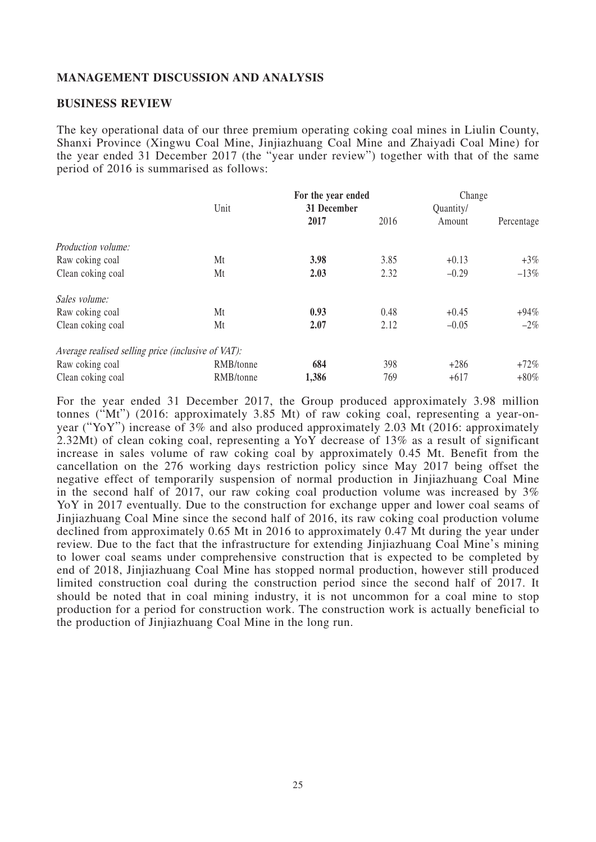### **MANAGEMENT DISCUSSION AND ANALYSIS**

### **BUSINESS REVIEW**

The key operational data of our three premium operating coking coal mines in Liulin County, Shanxi Province (Xingwu Coal Mine, Jinjiazhuang Coal Mine and Zhaiyadi Coal Mine) for the year ended 31 December 2017 (the "year under review") together with that of the same period of 2016 is summarised as follows:

|                                                    |           | For the year ended |      | Change    |            |
|----------------------------------------------------|-----------|--------------------|------|-----------|------------|
|                                                    | Unit      | 31 December        |      | Quantity/ |            |
|                                                    |           | 2017               | 2016 | Amount    | Percentage |
| <i>Production volume:</i>                          |           |                    |      |           |            |
| Raw coking coal                                    | Mt        | 3.98               | 3.85 | $+0.13$   | $+3\%$     |
| Clean coking coal                                  | Mt        | 2.03               | 2.32 | $-0.29$   | $-13\%$    |
| Sales volume:                                      |           |                    |      |           |            |
| Raw coking coal                                    | Mt        | 0.93               | 0.48 | $+0.45$   | $+94\%$    |
| Clean coking coal                                  | Mt        | 2.07               | 2.12 | $-0.05$   | $-2\%$     |
| Average realised selling price (inclusive of VAT): |           |                    |      |           |            |
| Raw coking coal                                    | RMB/tonne | 684                | 398  | $+286$    | $+72\%$    |
| Clean coking coal                                  | RMB/tonne | 1,386              | 769  | $+617$    | $+80\%$    |

For the year ended 31 December 2017, the Group produced approximately 3.98 million tonnes ("Mt") (2016: approximately 3.85 Mt) of raw coking coal, representing a year-onyear ("YoY") increase of 3% and also produced approximately 2.03 Mt (2016: approximately 2.32Mt) of clean coking coal, representing a YoY decrease of 13% as a result of significant increase in sales volume of raw coking coal by approximately 0.45 Mt. Benefit from the cancellation on the 276 working days restriction policy since May 2017 being offset the negative effect of temporarily suspension of normal production in Jinjiazhuang Coal Mine in the second half of 2017, our raw coking coal production volume was increased by  $3\%$ YoY in 2017 eventually. Due to the construction for exchange upper and lower coal seams of Jinjiazhuang Coal Mine since the second half of 2016, its raw coking coal production volume declined from approximately 0.65 Mt in 2016 to approximately 0.47 Mt during the year under review. Due to the fact that the infrastructure for extending Jinjiazhuang Coal Mine's mining to lower coal seams under comprehensive construction that is expected to be completed by end of 2018, Jinjiazhuang Coal Mine has stopped normal production, however still produced limited construction coal during the construction period since the second half of 2017. It should be noted that in coal mining industry, it is not uncommon for a coal mine to stop production for a period for construction work. The construction work is actually beneficial to the production of Jinjiazhuang Coal Mine in the long run.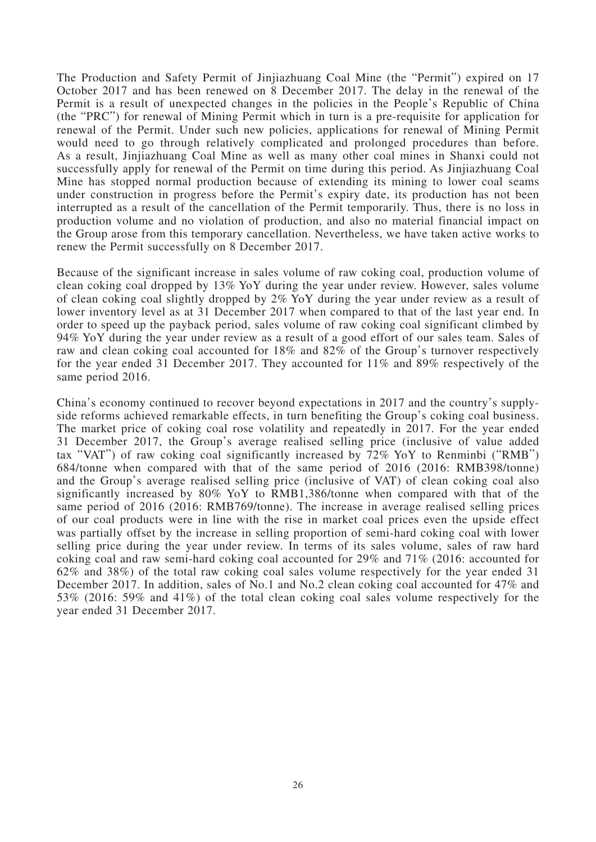The Production and Safety Permit of Jinjiazhuang Coal Mine (the "Permit") expired on 17 October 2017 and has been renewed on 8 December 2017. The delay in the renewal of the Permit is a result of unexpected changes in the policies in the People's Republic of China (the "PRC") for renewal of Mining Permit which in turn is a pre-requisite for application for renewal of the Permit. Under such new policies, applications for renewal of Mining Permit would need to go through relatively complicated and prolonged procedures than before. As a result, Jinjiazhuang Coal Mine as well as many other coal mines in Shanxi could not successfully apply for renewal of the Permit on time during this period. As Jinjiazhuang Coal Mine has stopped normal production because of extending its mining to lower coal seams under construction in progress before the Permit's expiry date, its production has not been interrupted as a result of the cancellation of the Permit temporarily. Thus, there is no loss in production volume and no violation of production, and also no material financial impact on the Group arose from this temporary cancellation. Nevertheless, we have taken active works to renew the Permit successfully on 8 December 2017.

Because of the significant increase in sales volume of raw coking coal, production volume of clean coking coal dropped by 13% YoY during the year under review. However, sales volume of clean coking coal slightly dropped by 2% YoY during the year under review as a result of lower inventory level as at 31 December 2017 when compared to that of the last year end. In order to speed up the payback period, sales volume of raw coking coal significant climbed by 94% YoY during the year under review as a result of a good effort of our sales team. Sales of raw and clean coking coal accounted for 18% and 82% of the Group's turnover respectively for the year ended 31 December 2017. They accounted for 11% and 89% respectively of the same period 2016.

China's economy continued to recover beyond expectations in 2017 and the country's supplyside reforms achieved remarkable effects, in turn benefiting the Group's coking coal business. The market price of coking coal rose volatility and repeatedly in 2017. For the year ended 31 December 2017, the Group's average realised selling price (inclusive of value added tax "VAT") of raw coking coal significantly increased by 72% YoY to Renminbi ("RMB") 684/tonne when compared with that of the same period of 2016 (2016: RMB398/tonne) and the Group's average realised selling price (inclusive of VAT) of clean coking coal also significantly increased by 80% YoY to RMB1,386/tonne when compared with that of the same period of 2016 (2016: RMB769/tonne). The increase in average realised selling prices of our coal products were in line with the rise in market coal prices even the upside effect was partially offset by the increase in selling proportion of semi-hard coking coal with lower selling price during the year under review. In terms of its sales volume, sales of raw hard coking coal and raw semi-hard coking coal accounted for 29% and 71% (2016: accounted for 62% and 38%) of the total raw coking coal sales volume respectively for the year ended 31 December 2017. In addition, sales of No.1 and No.2 clean coking coal accounted for 47% and 53% (2016: 59% and 41%) of the total clean coking coal sales volume respectively for the year ended 31 December 2017.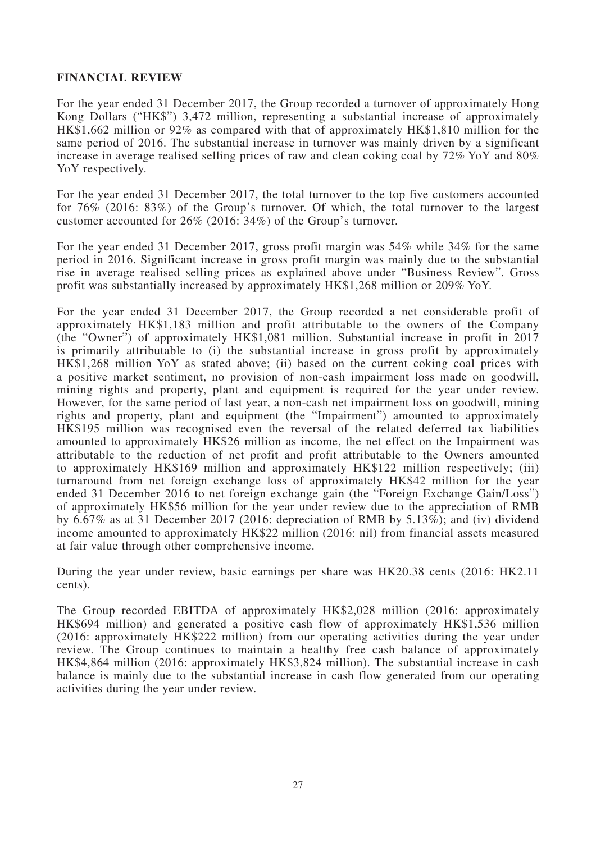# **FINANCIAL REVIEW**

For the year ended 31 December 2017, the Group recorded a turnover of approximately Hong Kong Dollars ("HK\$") 3,472 million, representing a substantial increase of approximately HK\$1,662 million or 92% as compared with that of approximately HK\$1,810 million for the same period of 2016. The substantial increase in turnover was mainly driven by a significant increase in average realised selling prices of raw and clean coking coal by 72% YoY and 80% YoY respectively.

For the year ended 31 December 2017, the total turnover to the top five customers accounted for 76% (2016: 83%) of the Group's turnover. Of which, the total turnover to the largest customer accounted for 26% (2016: 34%) of the Group's turnover.

For the year ended 31 December 2017, gross profit margin was 54% while 34% for the same period in 2016. Significant increase in gross profit margin was mainly due to the substantial rise in average realised selling prices as explained above under "Business Review". Gross profit was substantially increased by approximately HK\$1,268 million or 209% YoY.

For the year ended 31 December 2017, the Group recorded a net considerable profit of approximately HK\$1,183 million and profit attributable to the owners of the Company (the "Owner") of approximately HK\$1,081 million. Substantial increase in profit in 2017 is primarily attributable to (i) the substantial increase in gross profit by approximately HK\$1,268 million YoY as stated above; (ii) based on the current coking coal prices with a positive market sentiment, no provision of non-cash impairment loss made on goodwill, mining rights and property, plant and equipment is required for the year under review. However, for the same period of last year, a non-cash net impairment loss on goodwill, mining rights and property, plant and equipment (the "Impairment") amounted to approximately HK\$195 million was recognised even the reversal of the related deferred tax liabilities amounted to approximately HK\$26 million as income, the net effect on the Impairment was attributable to the reduction of net profit and profit attributable to the Owners amounted to approximately HK\$169 million and approximately HK\$122 million respectively; (iii) turnaround from net foreign exchange loss of approximately HK\$42 million for the year ended 31 December 2016 to net foreign exchange gain (the "Foreign Exchange Gain/Loss") of approximately HK\$56 million for the year under review due to the appreciation of RMB by 6.67% as at 31 December 2017 (2016: depreciation of RMB by 5.13%); and (iv) dividend income amounted to approximately HK\$22 million (2016: nil) from financial assets measured at fair value through other comprehensive income.

During the year under review, basic earnings per share was HK20.38 cents (2016: HK2.11 cents).

The Group recorded EBITDA of approximately HK\$2,028 million (2016: approximately HK\$694 million) and generated a positive cash flow of approximately HK\$1,536 million (2016: approximately HK\$222 million) from our operating activities during the year under review. The Group continues to maintain a healthy free cash balance of approximately HK\$4,864 million (2016: approximately HK\$3,824 million). The substantial increase in cash balance is mainly due to the substantial increase in cash flow generated from our operating activities during the year under review.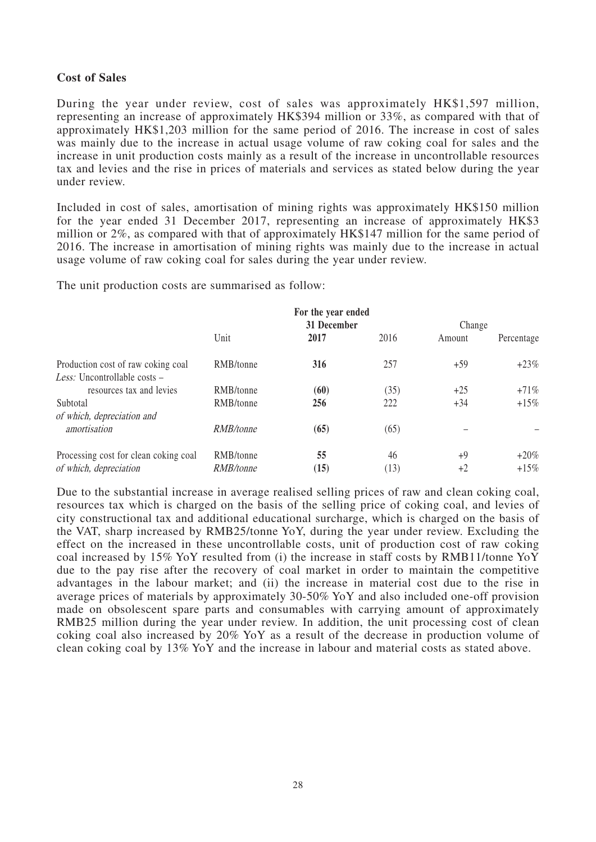# **Cost of Sales**

During the year under review, cost of sales was approximately HK\$1,597 million, representing an increase of approximately HK\$394 million or 33%, as compared with that of approximately HK\$1,203 million for the same period of 2016. The increase in cost of sales was mainly due to the increase in actual usage volume of raw coking coal for sales and the increase in unit production costs mainly as a result of the increase in uncontrollable resources tax and levies and the rise in prices of materials and services as stated below during the year under review.

Included in cost of sales, amortisation of mining rights was approximately HK\$150 million for the year ended 31 December 2017, representing an increase of approximately HK\$3 million or 2%, as compared with that of approximately HK\$147 million for the same period of 2016. The increase in amortisation of mining rights was mainly due to the increase in actual usage volume of raw coking coal for sales during the year under review.

The unit production costs are summarised as follow:

|                                                                    | For the year ended<br>31 December |      |      | Change |            |
|--------------------------------------------------------------------|-----------------------------------|------|------|--------|------------|
|                                                                    | Unit                              | 2017 | 2016 | Amount | Percentage |
| Production cost of raw coking coal<br>Less: Uncontrollable costs – | RMB/tonne                         | 316  | 257  | $+59$  | $+23\%$    |
| resources tax and levies                                           | RMB/tonne                         | (60) | (35) | $+25$  | $+71\%$    |
| Subtotal                                                           | RMB/tonne                         | 256  | 222  | $+34$  | $+15\%$    |
| of which, depreciation and<br>amortisation                         | RMB/tonne                         | (65) | (65) |        |            |
| Processing cost for clean coking coal                              | RMB/tonne                         | 55   | 46   | +9     | $+20\%$    |
| of which, depreciation                                             | RMB/tonne                         | (15) | (13) | $+2$   | $+15\%$    |

Due to the substantial increase in average realised selling prices of raw and clean coking coal, resources tax which is charged on the basis of the selling price of coking coal, and levies of city constructional tax and additional educational surcharge, which is charged on the basis of the VAT, sharp increased by RMB25/tonne YoY, during the year under review. Excluding the effect on the increased in these uncontrollable costs, unit of production cost of raw coking coal increased by 15% YoY resulted from (i) the increase in staff costs by RMB11/tonne YoY due to the pay rise after the recovery of coal market in order to maintain the competitive advantages in the labour market; and (ii) the increase in material cost due to the rise in average prices of materials by approximately 30-50% YoY and also included one-off provision made on obsolescent spare parts and consumables with carrying amount of approximately RMB25 million during the year under review. In addition, the unit processing cost of clean coking coal also increased by 20% YoY as a result of the decrease in production volume of clean coking coal by 13% YoY and the increase in labour and material costs as stated above.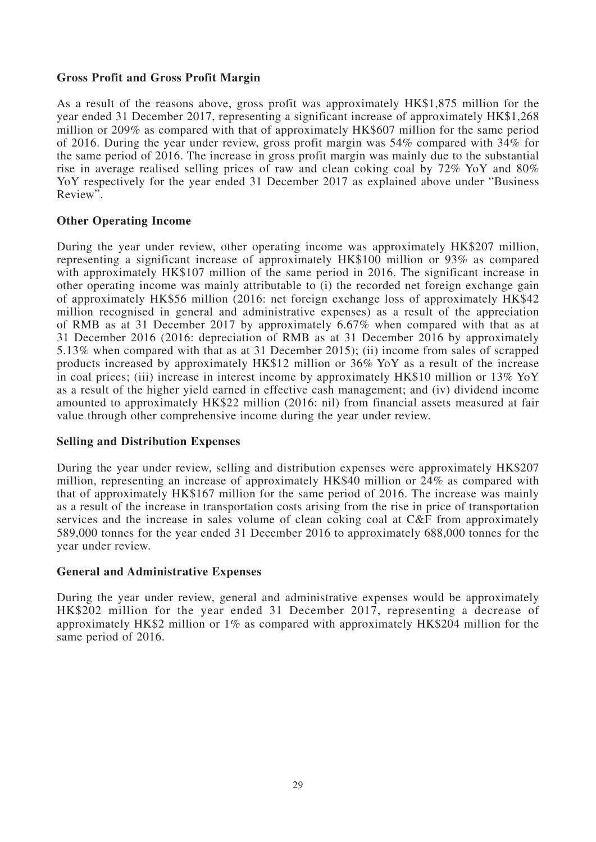# **Gross Profit and Gross Profit Margin**

As a result of the reasons above, gross profit was approximately HK\$1,875 million for the year ended 31 December 2017, representing a significant increase of approximately HK\$1,268 million or 209% as compared with that of approximately HK\$607 million for the same period of 2016. During the year under review, gross profit margin was 54% compared with 34% for the same period of 2016. The increase in gross profit margin was mainly due to the substantial rise in average realised selling prices of raw and clean coking coal by 72% YoY and 80% YoY respectively for the year ended 31 December 2017 as explained above under "Business" Review".

# **Other Operating Income**

During the year under review, other operating income was approximately HK\$207 million, representing a significant increase of approximately HK\$100 million or 93% as compared with approximately HK\$107 million of the same period in 2016. The significant increase in other operating income was mainly attributable to (i) the recorded net foreign exchange gain of approximately HK\$56 million (2016: net foreign exchange loss of approximately HK\$42 million recognised in general and administrative expenses) as a result of the appreciation of RMB as at 31 December 2017 by approximately 6.67% when compared with that as at 31 December 2016 (2016: depreciation of RMB as at 31 December 2016 by approximately 5.13% when compared with that as at 31 December 2015); (ii) income from sales of scrapped products increased by approximately HK\$12 million or 36% YoY as a result of the increase in coal prices; (iii) increase in interest income by approximately HK\$10 million or 13% YoY as a result of the higher yield earned in effective cash management; and (iv) dividend income amounted to approximately HK\$22 million (2016: nil) from financial assets measured at fair value through other comprehensive income during the year under review.

### **Selling and Distribution Expenses**

During the year under review, selling and distribution expenses were approximately HK\$207 million, representing an increase of approximately HK\$40 million or 24% as compared with that of approximately HK\$167 million for the same period of 2016. The increase was mainly as a result of the increase in transportation costs arising from the rise in price of transportation services and the increase in sales volume of clean coking coal at C&F from approximately 589,000 tonnes for the year ended 31 December 2016 to approximately 688,000 tonnes for the year under review.

### **General and Administrative Expenses**

During the year under review, general and administrative expenses would be approximately HK\$202 million for the year ended 31 December 2017, representing a decrease of approximately HK\$2 million or 1% as compared with approximately HK\$204 million for the same period of 2016.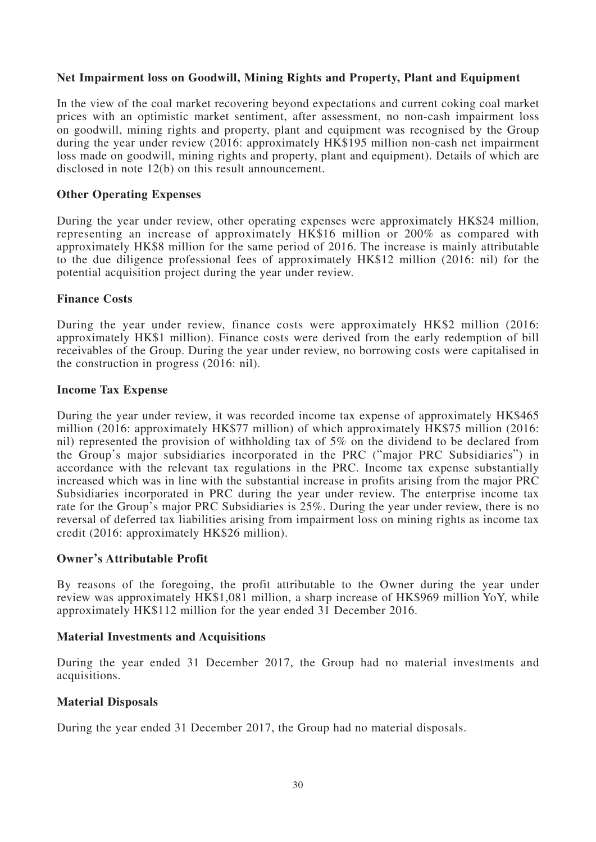# **Net Impairment loss on Goodwill, Mining Rights and Property, Plant and Equipment**

In the view of the coal market recovering beyond expectations and current coking coal market prices with an optimistic market sentiment, after assessment, no non-cash impairment loss on goodwill, mining rights and property, plant and equipment was recognised by the Group during the year under review (2016: approximately HK\$195 million non-cash net impairment loss made on goodwill, mining rights and property, plant and equipment). Details of which are disclosed in note 12(b) on this result announcement.

### **Other Operating Expenses**

During the year under review, other operating expenses were approximately HK\$24 million, representing an increase of approximately HK\$16 million or 200% as compared with approximately HK\$8 million for the same period of 2016. The increase is mainly attributable to the due diligence professional fees of approximately HK\$12 million (2016: nil) for the potential acquisition project during the year under review.

### **Finance Costs**

During the year under review, finance costs were approximately HK\$2 million (2016: approximately HK\$1 million). Finance costs were derived from the early redemption of bill receivables of the Group. During the year under review, no borrowing costs were capitalised in the construction in progress (2016: nil).

### **Income Tax Expense**

During the year under review, it was recorded income tax expense of approximately HK\$465 million (2016: approximately HK\$77 million) of which approximately HK\$75 million (2016: nil) represented the provision of withholding tax of 5% on the dividend to be declared from the Group's major subsidiaries incorporated in the PRC ("major PRC Subsidiaries") in accordance with the relevant tax regulations in the PRC. Income tax expense substantially increased which was in line with the substantial increase in profits arising from the major PRC Subsidiaries incorporated in PRC during the year under review. The enterprise income tax rate for the Group's major PRC Subsidiaries is 25%. During the year under review, there is no reversal of deferred tax liabilities arising from impairment loss on mining rights as income tax credit (2016: approximately HK\$26 million).

### **Owner's Attributable Profit**

By reasons of the foregoing, the profit attributable to the Owner during the year under review was approximately HK\$1,081 million, a sharp increase of HK\$969 million YoY, while approximately HK\$112 million for the year ended 31 December 2016.

### **Material Investments and Acquisitions**

During the year ended 31 December 2017, the Group had no material investments and acquisitions.

### **Material Disposals**

During the year ended 31 December 2017, the Group had no material disposals.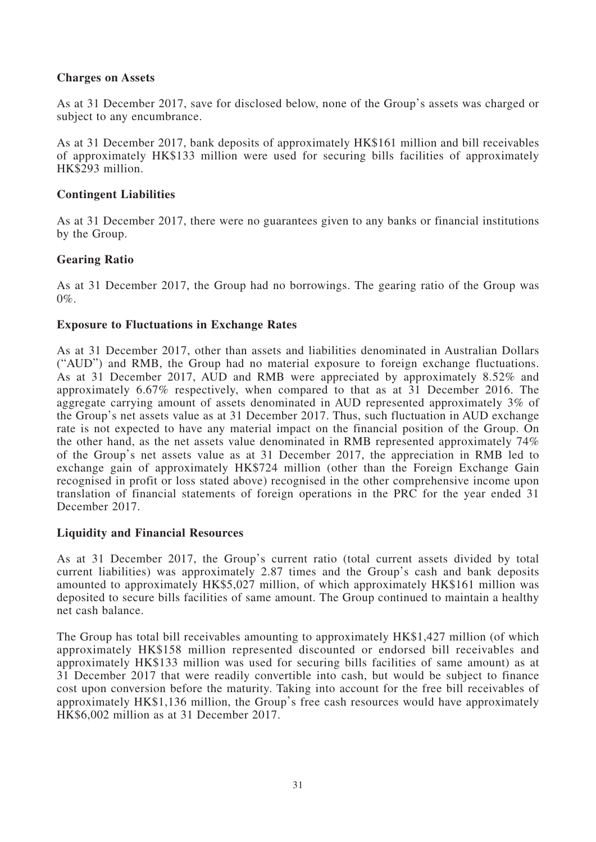# **Charges on Assets**

As at 31 December 2017, save for disclosed below, none of the Group's assets was charged or subject to any encumbrance.

As at 31 December 2017, bank deposits of approximately HK\$161 million and bill receivables of approximately HK\$133 million were used for securing bills facilities of approximately HK\$293 million.

# **Contingent Liabilities**

As at 31 December 2017, there were no guarantees given to any banks or financial institutions by the Group.

# **Gearing Ratio**

As at 31 December 2017, the Group had no borrowings. The gearing ratio of the Group was 0%.

# **Exposure to Fluctuations in Exchange Rates**

As at 31 December 2017, other than assets and liabilities denominated in Australian Dollars ("AUD") and RMB, the Group had no material exposure to foreign exchange fluctuations. As at 31 December 2017, AUD and RMB were appreciated by approximately 8.52% and approximately 6.67% respectively, when compared to that as at 31 December 2016. The aggregate carrying amount of assets denominated in AUD represented approximately 3% of the Group's net assets value as at 31 December 2017. Thus, such fluctuation in AUD exchange rate is not expected to have any material impact on the financial position of the Group. On the other hand, as the net assets value denominated in RMB represented approximately 74% of the Group's net assets value as at 31 December 2017, the appreciation in RMB led to exchange gain of approximately HK\$724 million (other than the Foreign Exchange Gain recognised in profit or loss stated above) recognised in the other comprehensive income upon translation of financial statements of foreign operations in the PRC for the year ended 31 December 2017.

### **Liquidity and Financial Resources**

As at 31 December 2017, the Group's current ratio (total current assets divided by total current liabilities) was approximately 2.87 times and the Group's cash and bank deposits amounted to approximately HK\$5,027 million, of which approximately HK\$161 million was deposited to secure bills facilities of same amount. The Group continued to maintain a healthy net cash balance.

The Group has total bill receivables amounting to approximately HK\$1,427 million (of which approximately HK\$158 million represented discounted or endorsed bill receivables and approximately HK\$133 million was used for securing bills facilities of same amount) as at 31 December 2017 that were readily convertible into cash, but would be subject to finance cost upon conversion before the maturity. Taking into account for the free bill receivables of approximately HK\$1,136 million, the Group's free cash resources would have approximately HK\$6,002 million as at 31 December 2017.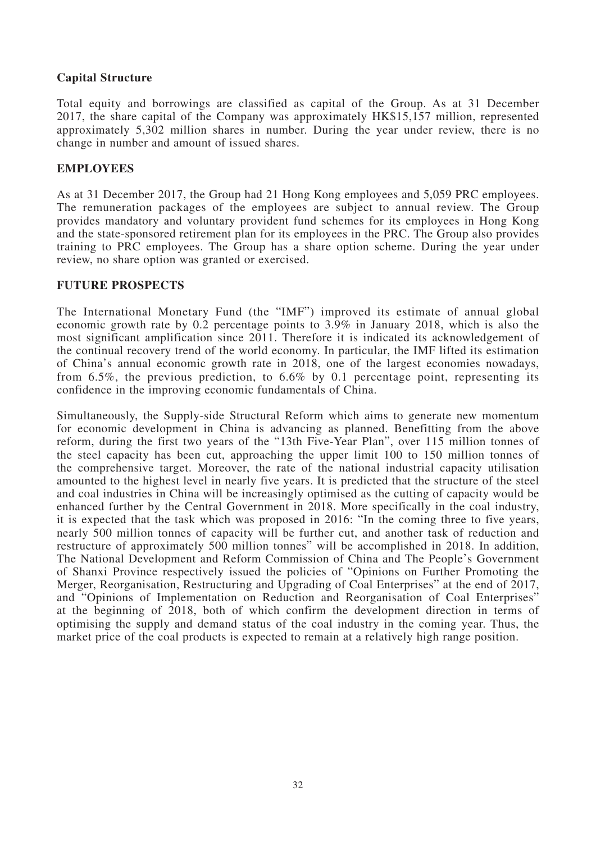# **Capital Structure**

Total equity and borrowings are classified as capital of the Group. As at 31 December 2017, the share capital of the Company was approximately HK\$15,157 million, represented approximately 5,302 million shares in number. During the year under review, there is no change in number and amount of issued shares.

### **EMPLOYEES**

As at 31 December 2017, the Group had 21 Hong Kong employees and 5,059 PRC employees. The remuneration packages of the employees are subject to annual review. The Group provides mandatory and voluntary provident fund schemes for its employees in Hong Kong and the state-sponsored retirement plan for its employees in the PRC. The Group also provides training to PRC employees. The Group has a share option scheme. During the year under review, no share option was granted or exercised.

### **FUTURE PROSPECTS**

The International Monetary Fund (the "IMF") improved its estimate of annual global economic growth rate by 0.2 percentage points to 3.9% in January 2018, which is also the most significant amplification since 2011. Therefore it is indicated its acknowledgement of the continual recovery trend of the world economy. In particular, the IMF lifted its estimation of China's annual economic growth rate in 2018, one of the largest economies nowadays, from 6.5%, the previous prediction, to 6.6% by 0.1 percentage point, representing its confidence in the improving economic fundamentals of China.

Simultaneously, the Supply-side Structural Reform which aims to generate new momentum for economic development in China is advancing as planned. Benefitting from the above reform, during the first two years of the "13th Five-Year Plan", over 115 million tonnes of the steel capacity has been cut, approaching the upper limit 100 to 150 million tonnes of the comprehensive target. Moreover, the rate of the national industrial capacity utilisation amounted to the highest level in nearly five years. It is predicted that the structure of the steel and coal industries in China will be increasingly optimised as the cutting of capacity would be enhanced further by the Central Government in 2018. More specifically in the coal industry, it is expected that the task which was proposed in 2016: "In the coming three to five years, nearly 500 million tonnes of capacity will be further cut, and another task of reduction and restructure of approximately 500 million tonnes" will be accomplished in 2018. In addition, The National Development and Reform Commission of China and The People's Government of Shanxi Province respectively issued the policies of "Opinions on Further Promoting the Merger, Reorganisation, Restructuring and Upgrading of Coal Enterprises" at the end of 2017, and "Opinions of Implementation on Reduction and Reorganisation of Coal Enterprises" at the beginning of 2018, both of which confirm the development direction in terms of optimising the supply and demand status of the coal industry in the coming year. Thus, the market price of the coal products is expected to remain at a relatively high range position.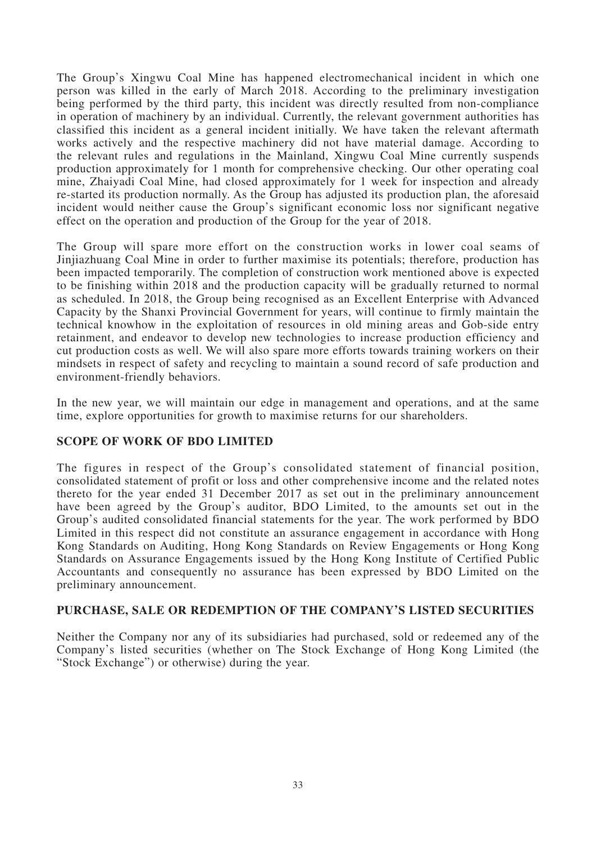The Group's Xingwu Coal Mine has happened electromechanical incident in which one person was killed in the early of March 2018. According to the preliminary investigation being performed by the third party, this incident was directly resulted from non-compliance in operation of machinery by an individual. Currently, the relevant government authorities has classified this incident as a general incident initially. We have taken the relevant aftermath works actively and the respective machinery did not have material damage. According to the relevant rules and regulations in the Mainland, Xingwu Coal Mine currently suspends production approximately for 1 month for comprehensive checking. Our other operating coal mine, Zhaiyadi Coal Mine, had closed approximately for 1 week for inspection and already re-started its production normally. As the Group has adjusted its production plan, the aforesaid incident would neither cause the Group's significant economic loss nor significant negative effect on the operation and production of the Group for the year of 2018.

The Group will spare more effort on the construction works in lower coal seams of Jinjiazhuang Coal Mine in order to further maximise its potentials; therefore, production has been impacted temporarily. The completion of construction work mentioned above is expected to be finishing within 2018 and the production capacity will be gradually returned to normal as scheduled. In 2018, the Group being recognised as an Excellent Enterprise with Advanced Capacity by the Shanxi Provincial Government for years, will continue to firmly maintain the technical knowhow in the exploitation of resources in old mining areas and Gob-side entry retainment, and endeavor to develop new technologies to increase production efficiency and cut production costs as well. We will also spare more efforts towards training workers on their mindsets in respect of safety and recycling to maintain a sound record of safe production and environment-friendly behaviors.

In the new year, we will maintain our edge in management and operations, and at the same time, explore opportunities for growth to maximise returns for our shareholders.

# **SCOPE OF WORK OF BDO LIMITED**

The figures in respect of the Group's consolidated statement of financial position, consolidated statement of profit or loss and other comprehensive income and the related notes thereto for the year ended 31 December 2017 as set out in the preliminary announcement have been agreed by the Group's auditor, BDO Limited, to the amounts set out in the Group's audited consolidated financial statements for the year. The work performed by BDO Limited in this respect did not constitute an assurance engagement in accordance with Hong Kong Standards on Auditing, Hong Kong Standards on Review Engagements or Hong Kong Standards on Assurance Engagements issued by the Hong Kong Institute of Certified Public Accountants and consequently no assurance has been expressed by BDO Limited on the preliminary announcement.

# **PURCHASE, SALE OR REDEMPTION OF THE COMPANY'S LISTED SECURITIES**

Neither the Company nor any of its subsidiaries had purchased, sold or redeemed any of the Company's listed securities (whether on The Stock Exchange of Hong Kong Limited (the "Stock Exchange") or otherwise) during the year.